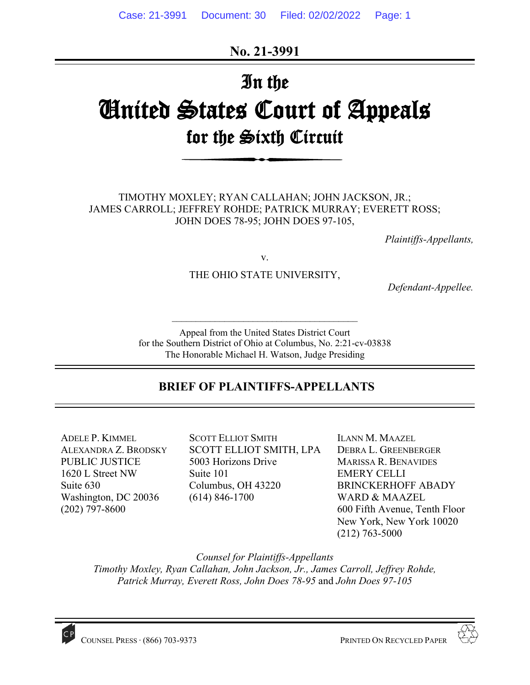**No. 21-3991** 

# In the United States Court of Appeals for the Sixth Circuit

TIMOTHY MOXLEY; RYAN CALLAHAN; JOHN JACKSON, JR.; JAMES CARROLL; JEFFREY ROHDE; PATRICK MURRAY; EVERETT ROSS; JOHN DOES 78-95; JOHN DOES 97-105,

*Plaintiffs-Appellants,* 

v.

THE OHIO STATE UNIVERSITY,

*Defendant-Appellee.* 

Appeal from the United States District Court for the Southern District of Ohio at Columbus, No. 2:21-cv-03838 The Honorable Michael H. Watson, Judge Presiding

 $\mathcal{L}_\text{max}$ 

# **BRIEF OF PLAINTIFFS-APPELLANTS**

ADELE P. KIMMEL ALEXANDRA Z. BRODSKY PUBLIC JUSTICE 1620 L Street NW Suite 630 Washington, DC 20036 (202) 797-8600

SCOTT ELLIOT SMITH SCOTT ELLIOT SMITH, LPA 5003 Horizons Drive Suite 101 Columbus, OH 43220 (614) 846-1700

ILANN M. MAAZEL DEBRA L. GREENBERGER MARISSA R. BENAVIDES EMERY CELLI BRINCKERHOFF ABADY WARD & MAAZEL 600 Fifth Avenue, Tenth Floor New York, New York 10020 (212) 763-5000

*Counsel for Plaintiffs-Appellants* 

*Timothy Moxley, Ryan Callahan, John Jackson, Jr., James Carroll, Jeffrey Rohde, Patrick Murray, Everett Ross, John Does 78-95* and *John Does 97-105* 



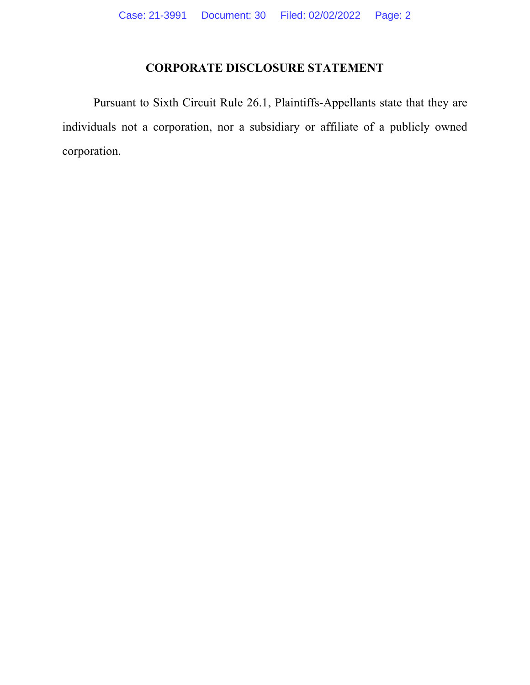# **CORPORATE DISCLOSURE STATEMENT**

Pursuant to Sixth Circuit Rule 26.1, Plaintiffs-Appellants state that they are individuals not a corporation, nor a subsidiary or affiliate of a publicly owned corporation.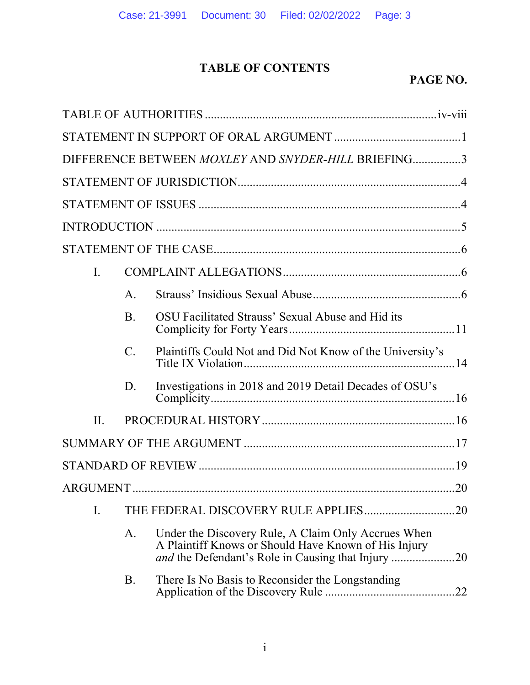# **TABLE OF CONTENTS**

# **PAGE NO.**

|     |                 | DIFFERENCE BETWEEN MOXLEY AND SNYDER-HILL BRIEFING3                                                               |
|-----|-----------------|-------------------------------------------------------------------------------------------------------------------|
|     |                 |                                                                                                                   |
|     |                 |                                                                                                                   |
|     |                 |                                                                                                                   |
|     |                 |                                                                                                                   |
| I.  |                 |                                                                                                                   |
|     | A.              |                                                                                                                   |
|     | <b>B.</b>       | OSU Facilitated Strauss' Sexual Abuse and Hid its                                                                 |
|     | $\mathcal{C}$ . | Plaintiffs Could Not and Did Not Know of the University's                                                         |
|     | D.              | Investigations in 2018 and 2019 Detail Decades of OSU's                                                           |
| II. |                 |                                                                                                                   |
|     |                 |                                                                                                                   |
|     |                 |                                                                                                                   |
|     |                 |                                                                                                                   |
| I.  |                 | .20                                                                                                               |
|     | A.              | Under the Discovery Rule, A Claim Only Accrues When<br>A Plaintiff Knows or Should Have Known of His Injury<br>20 |
|     | B.              | There Is No Basis to Reconsider the Longstanding<br>22                                                            |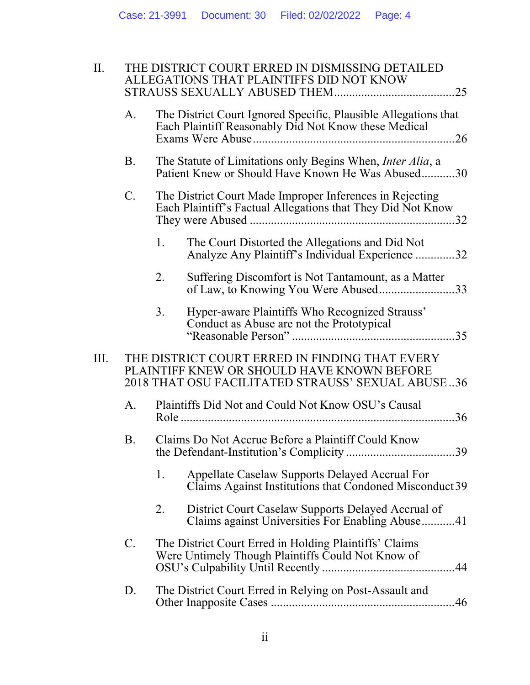| II.  |             | THE DISTRICT COURT ERRED IN DISMISSING DETAILED<br>ALLEGATIONS THAT PLAINTIFFS DID NOT KNOW<br>.25                                                |
|------|-------------|---------------------------------------------------------------------------------------------------------------------------------------------------|
|      | A.          | The District Court Ignored Specific, Plausible Allegations that<br>Each Plaintiff Reasonably Did Not Know these Medical<br>.26                    |
|      | B.          | The Statute of Limitations only Begins When, <i>Inter Alia</i> , a<br>Patient Knew or Should Have Known He Was Abused30                           |
|      | $C_{\cdot}$ | The District Court Made Improper Inferences in Rejecting<br>Each Plaintiff's Factual Allegations that They Did Not Know                           |
|      |             | 1.<br>The Court Distorted the Allegations and Did Not<br>Analyze Any Plaintiff's Individual Experience 32                                         |
|      |             | 2.<br>Suffering Discomfort is Not Tantamount, as a Matter<br>of Law, to Knowing You Were Abused33                                                 |
|      |             | Hyper-aware Plaintiffs Who Recognized Strauss'<br>3.<br>Conduct as Abuse are not the Prototypical<br>.35                                          |
| III. |             | THE DISTRICT COURT ERRED IN FINDING THAT EVERY<br>PLAINTIFF KNEW OR SHOULD HAVE KNOWN BEFORE<br>2018 THAT OSU FACILITATED STRAUSS' SEXUAL ABUSE36 |
|      | A.          | Plaintiffs Did Not and Could Not Know OSU's Causal<br>.36                                                                                         |
|      | B.          | Claims Do Not Accrue Before a Plaintiff Could Know                                                                                                |
|      |             | 1.<br>Appellate Caselaw Supports Delayed Accrual For<br>Claims Against Institutions that Condoned Misconduct 39                                   |
|      |             | 2.<br>District Court Caselaw Supports Delayed Accrual of<br>Claims against Universities For Enabling Abuse41                                      |
|      | $C_{\cdot}$ | The District Court Erred in Holding Plaintiffs' Claims<br>Were Untimely Though Plaintiffs Could Not Know of<br>.44                                |
|      | D.          | The District Court Erred in Relying on Post-Assault and<br>.46                                                                                    |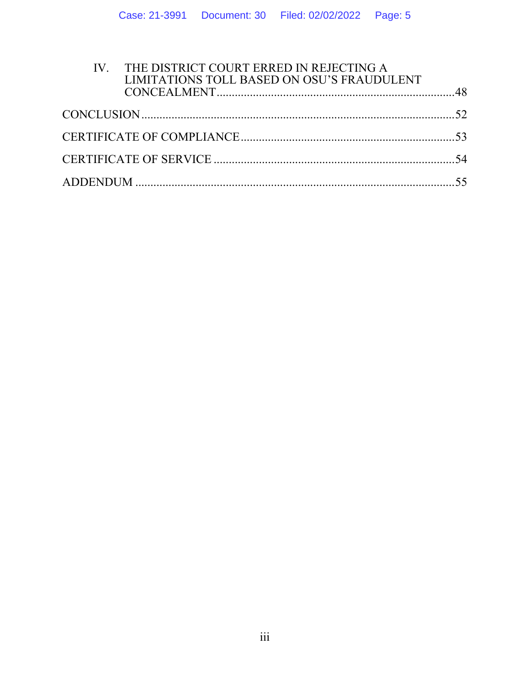| IV. THE DISTRICT COURT ERRED IN REJECTING A<br>LIMITATIONS TOLL BASED ON OSU'S FRAUDULENT |  |
|-------------------------------------------------------------------------------------------|--|
|                                                                                           |  |
|                                                                                           |  |
|                                                                                           |  |
|                                                                                           |  |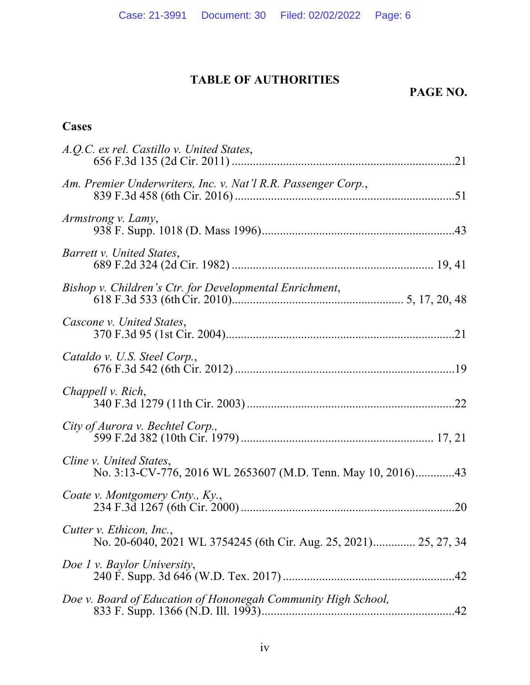# **TABLE OF AUTHORITIES**

# **PAGE NO.**

# **Cases**

| A.Q.C. ex rel. Castillo v. United States,                                                    |
|----------------------------------------------------------------------------------------------|
| Am. Premier Underwriters, Inc. v. Nat'l R.R. Passenger Corp.,                                |
| Armstrong v. Lamy,                                                                           |
| Barrett v. United States,                                                                    |
| Bishop v. Children's Ctr. for Developmental Enrichment,                                      |
| Cascone v. United States,                                                                    |
| Cataldo v. U.S. Steel Corp.,                                                                 |
| Chappell v. Rich,                                                                            |
| City of Aurora v. Bechtel Corp.,                                                             |
| Cline v. United States,<br>No. 3:13-CV-776, 2016 WL 2653607 (M.D. Tenn. May 10, 2016)43      |
| Coate v. Montgomery Cnty., Ky.,                                                              |
| Cutter v. Ethicon, Inc.,<br>No. 20-6040, 2021 WL 3754245 (6th Cir. Aug. 25, 2021) 25, 27, 34 |
| Doe 1 v. Baylor University,                                                                  |
| Doe v. Board of Education of Hononegah Community High School,                                |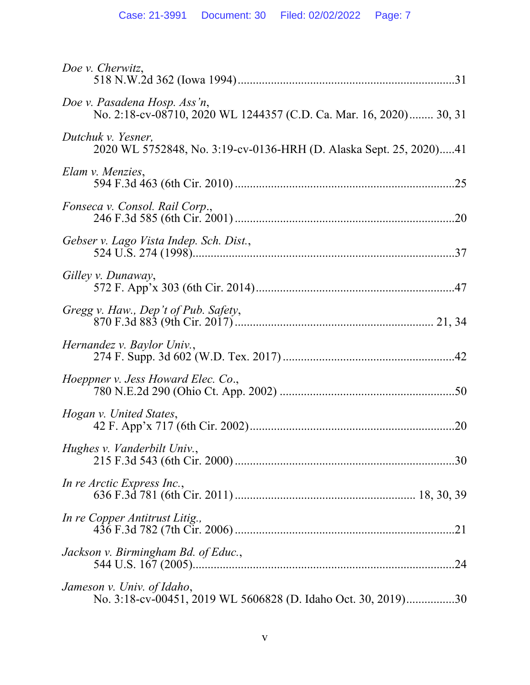| Doe v. Cherwitz,                                                                                   |
|----------------------------------------------------------------------------------------------------|
| Doe v. Pasadena Hosp. Ass'n,<br>No. 2:18-cv-08710, 2020 WL 1244357 (C.D. Ca. Mar. 16, 2020) 30, 31 |
| Dutchuk v. Yesner,<br>2020 WL 5752848, No. 3:19-cv-0136-HRH (D. Alaska Sept. 25, 2020)41           |
| Elam v. Menzies,                                                                                   |
| Fonseca v. Consol. Rail Corp.,                                                                     |
| Gebser v. Lago Vista Indep. Sch. Dist.,                                                            |
| Gilley v. Dunaway,                                                                                 |
| Gregg v. Haw., Dep't of Pub. Safety,                                                               |
| Hernandez v. Baylor Univ.,                                                                         |
| <i>Hoeppner v. Jess Howard Elec. Co.,</i>                                                          |
| Hogan v. United States,                                                                            |
| Hughes v. Vanderbilt Univ.,<br>.30                                                                 |
| In re Arctic Express Inc.,                                                                         |
| In re Copper Antitrust Litig.,                                                                     |
| Jackson v. Birmingham Bd. of Educ.,                                                                |
| Jameson v. Univ. of Idaho,<br>No. 3:18-cv-00451, 2019 WL 5606828 (D. Idaho Oct. 30, 2019)30        |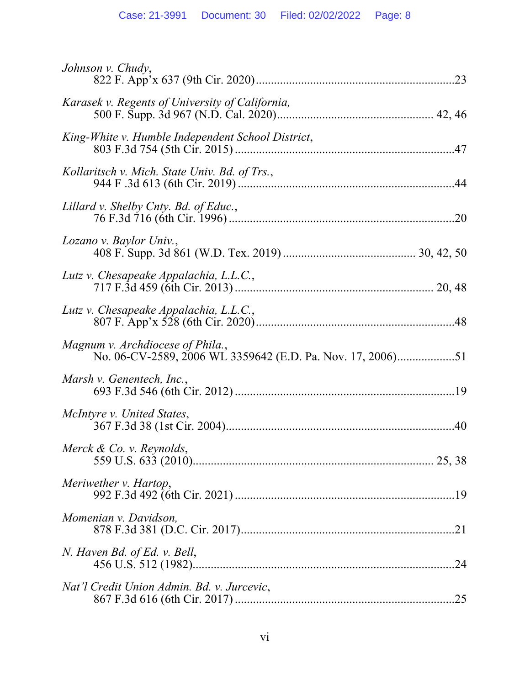| Johnson v. Chudy,                                 |
|---------------------------------------------------|
| Karasek v. Regents of University of California,   |
| King-White v. Humble Independent School District, |
| Kollaritsch v. Mich. State Univ. Bd. of Trs.,     |
| Lillard v. Shelby Cnty. Bd. of Educ.,             |
| Lozano v. Baylor Univ.,                           |
| Lutz v. Chesapeake Appalachia, L.L.C.,            |
| Lutz v. Chesapeake Appalachia, L.L.C.,            |
| Magnum v. Archdiocese of Phila.,                  |
| Marsh v. Genentech, Inc.,                         |
| McIntyre v. United States,                        |
| Merck & Co. v. Reynolds,                          |
| Meriwether v. Hartop,                             |
| Momenian v. Davidson,                             |
| N. Haven Bd. of Ed. v. Bell,<br>.24               |
| Nat'l Credit Union Admin. Bd. v. Jurcevic,        |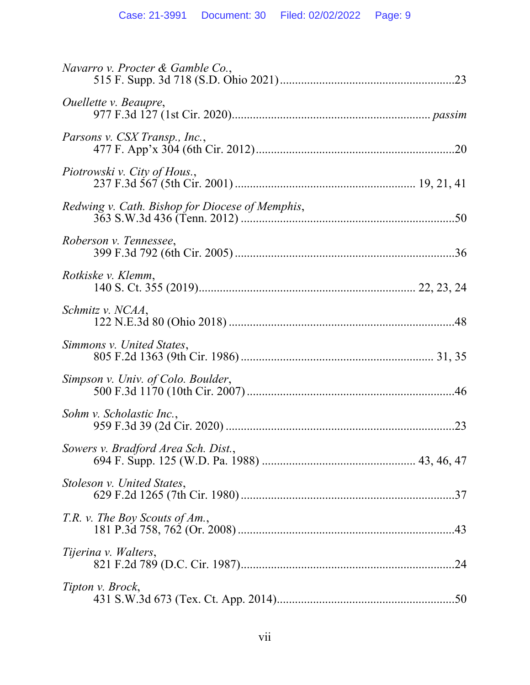| Navarro v. Procter & Gamble Co.,                |  |
|-------------------------------------------------|--|
| <i>Ouellette v. Beaupre,</i>                    |  |
| Parsons v. CSX Transp., Inc.,                   |  |
| Piotrowski v. City of Hous.,                    |  |
| Redwing v. Cath. Bishop for Diocese of Memphis, |  |
| Roberson v. Tennessee,                          |  |
| Rotkiske v. Klemm,                              |  |
| Schmitz v. NCAA,                                |  |
| Simmons v. United States,                       |  |
| Simpson v. Univ. of Colo. Boulder,              |  |
| Sohm v. Scholastic Inc.,                        |  |
| Sowers v. Bradford Area Sch. Dist.,             |  |
| Stoleson v. United States,                      |  |
| T.R. v. The Boy Scouts of Am.,                  |  |
| Tijerina v. Walters,                            |  |
| Tipton v. Brock,                                |  |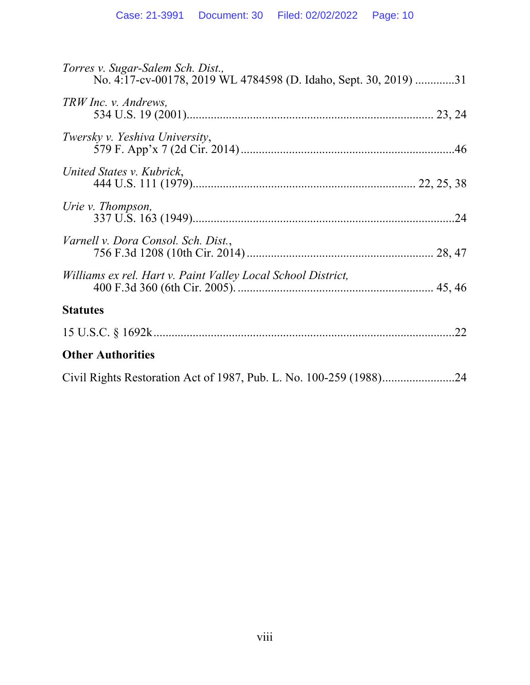| Torres v. Sugar-Salem Sch. Dist.,<br>No. 4:17-cv-00178, 2019 WL 4784598 (D. Idaho, Sept. 30, 2019) 31 |
|-------------------------------------------------------------------------------------------------------|
| TRW Inc. v. Andrews,                                                                                  |
| Twersky v. Yeshiva University,                                                                        |
| United States v. Kubrick,                                                                             |
| Urie v. Thompson,                                                                                     |
| Varnell v. Dora Consol. Sch. Dist.,                                                                   |
| Williams ex rel. Hart v. Paint Valley Local School District,                                          |
| <b>Statutes</b>                                                                                       |
| .22                                                                                                   |
| <b>Other Authorities</b>                                                                              |
|                                                                                                       |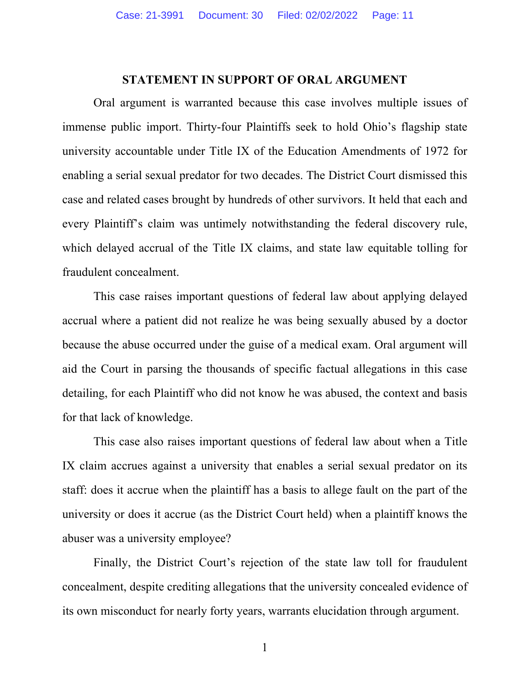#### **STATEMENT IN SUPPORT OF ORAL ARGUMENT**

Oral argument is warranted because this case involves multiple issues of immense public import. Thirty-four Plaintiffs seek to hold Ohio's flagship state university accountable under Title IX of the Education Amendments of 1972 for enabling a serial sexual predator for two decades. The District Court dismissed this case and related cases brought by hundreds of other survivors. It held that each and every Plaintiff's claim was untimely notwithstanding the federal discovery rule, which delayed accrual of the Title IX claims, and state law equitable tolling for fraudulent concealment.

This case raises important questions of federal law about applying delayed accrual where a patient did not realize he was being sexually abused by a doctor because the abuse occurred under the guise of a medical exam. Oral argument will aid the Court in parsing the thousands of specific factual allegations in this case detailing, for each Plaintiff who did not know he was abused, the context and basis for that lack of knowledge.

This case also raises important questions of federal law about when a Title IX claim accrues against a university that enables a serial sexual predator on its staff: does it accrue when the plaintiff has a basis to allege fault on the part of the university or does it accrue (as the District Court held) when a plaintiff knows the abuser was a university employee?

Finally, the District Court's rejection of the state law toll for fraudulent concealment, despite crediting allegations that the university concealed evidence of its own misconduct for nearly forty years, warrants elucidation through argument.

1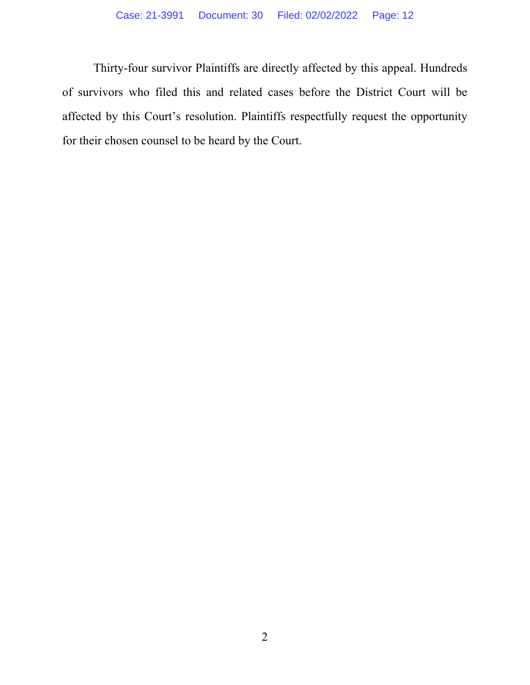Thirty-four survivor Plaintiffs are directly affected by this appeal. Hundreds of survivors who filed this and related cases before the District Court will be affected by this Court's resolution. Plaintiffs respectfully request the opportunity for their chosen counsel to be heard by the Court.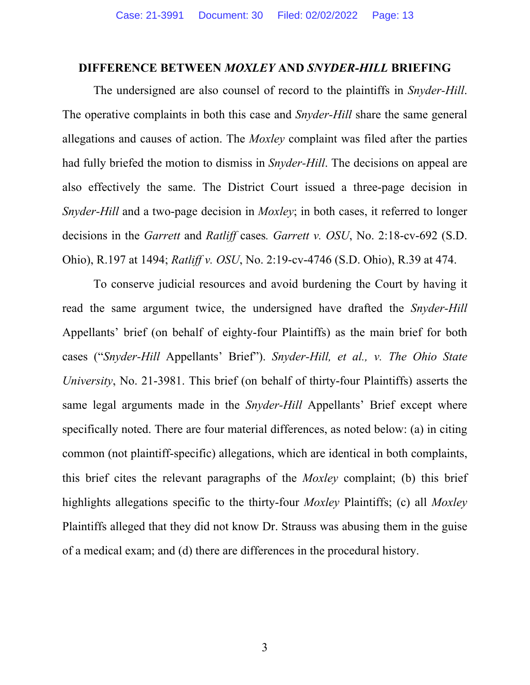#### **DIFFERENCE BETWEEN** *MOXLEY* **AND** *SNYDER-HILL* **BRIEFING**

 The undersigned are also counsel of record to the plaintiffs in *Snyder-Hill*. The operative complaints in both this case and *Snyder-Hill* share the same general allegations and causes of action. The *Moxley* complaint was filed after the parties had fully briefed the motion to dismiss in *Snyder-Hill*. The decisions on appeal are also effectively the same. The District Court issued a three-page decision in *Snyder-Hill* and a two-page decision in *Moxley*; in both cases, it referred to longer decisions in the *Garrett* and *Ratliff* cases*. Garrett v. OSU*, No. 2:18-cv-692 (S.D. Ohio), R.197 at 1494; *Ratliff v. OSU*, No. 2:19-cv-4746 (S.D. Ohio), R.39 at 474.

To conserve judicial resources and avoid burdening the Court by having it read the same argument twice, the undersigned have drafted the *Snyder-Hill* Appellants' brief (on behalf of eighty-four Plaintiffs) as the main brief for both cases ("*Snyder-Hill* Appellants' Brief"). *Snyder-Hill, et al., v. The Ohio State University*, No. 21-3981. This brief (on behalf of thirty-four Plaintiffs) asserts the same legal arguments made in the *Snyder-Hill* Appellants' Brief except where specifically noted. There are four material differences, as noted below: (a) in citing common (not plaintiff-specific) allegations, which are identical in both complaints, this brief cites the relevant paragraphs of the *Moxley* complaint; (b) this brief highlights allegations specific to the thirty-four *Moxley* Plaintiffs; (c) all *Moxley*  Plaintiffs alleged that they did not know Dr. Strauss was abusing them in the guise of a medical exam; and (d) there are differences in the procedural history.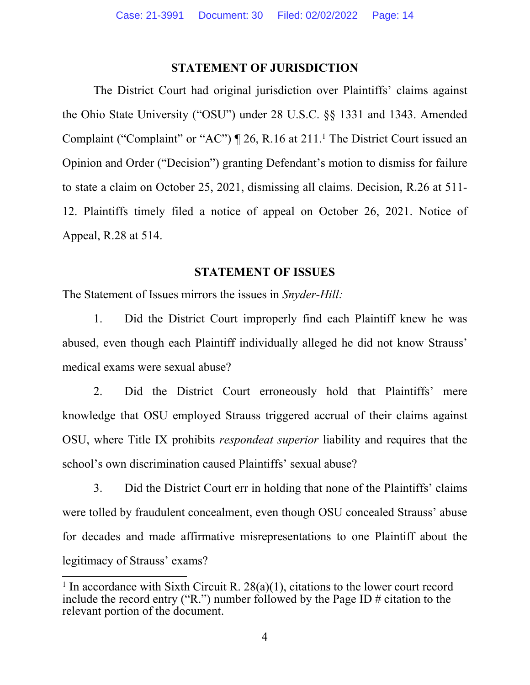# **STATEMENT OF JURISDICTION**

The District Court had original jurisdiction over Plaintiffs' claims against the Ohio State University ("OSU") under 28 U.S.C. §§ 1331 and 1343. Amended Complaint ("Complaint" or "AC")  $\parallel$  26, R.16 at 211.<sup>1</sup> The District Court issued an Opinion and Order ("Decision") granting Defendant's motion to dismiss for failure to state a claim on October 25, 2021, dismissing all claims. Decision, R.26 at 511- 12. Plaintiffs timely filed a notice of appeal on October 26, 2021. Notice of Appeal, R.28 at 514.

# **STATEMENT OF ISSUES**

The Statement of Issues mirrors the issues in *Snyder-Hill:* 

1. Did the District Court improperly find each Plaintiff knew he was abused, even though each Plaintiff individually alleged he did not know Strauss' medical exams were sexual abuse?

2. Did the District Court erroneously hold that Plaintiffs' mere knowledge that OSU employed Strauss triggered accrual of their claims against OSU, where Title IX prohibits *respondeat superior* liability and requires that the school's own discrimination caused Plaintiffs' sexual abuse?

3. Did the District Court err in holding that none of the Plaintiffs' claims were tolled by fraudulent concealment, even though OSU concealed Strauss' abuse for decades and made affirmative misrepresentations to one Plaintiff about the legitimacy of Strauss' exams?

<sup>&</sup>lt;sup>1</sup> In accordance with Sixth Circuit R.  $28(a)(1)$ , citations to the lower court record include the record entry ("R.") number followed by the Page ID  $\#$  citation to the relevant portion of the document.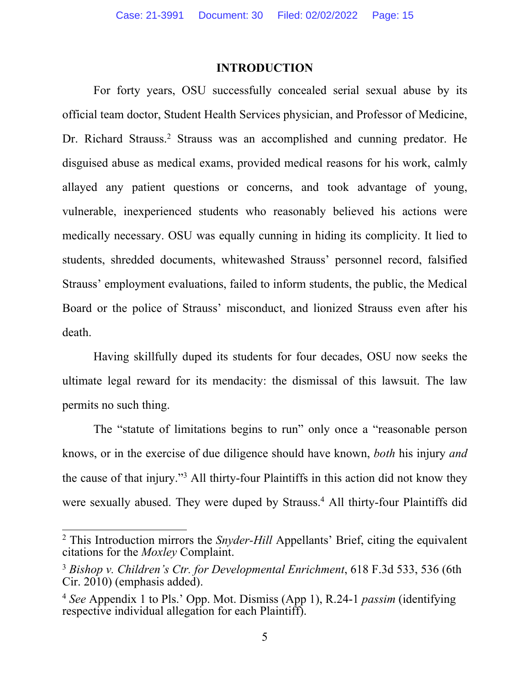#### **INTRODUCTION**

For forty years, OSU successfully concealed serial sexual abuse by its official team doctor, Student Health Services physician, and Professor of Medicine, Dr. Richard Strauss.<sup>2</sup> Strauss was an accomplished and cunning predator. He disguised abuse as medical exams, provided medical reasons for his work, calmly allayed any patient questions or concerns, and took advantage of young, vulnerable, inexperienced students who reasonably believed his actions were medically necessary. OSU was equally cunning in hiding its complicity. It lied to students, shredded documents, whitewashed Strauss' personnel record, falsified Strauss' employment evaluations, failed to inform students, the public, the Medical Board or the police of Strauss' misconduct, and lionized Strauss even after his death.

Having skillfully duped its students for four decades, OSU now seeks the ultimate legal reward for its mendacity: the dismissal of this lawsuit. The law permits no such thing.

The "statute of limitations begins to run" only once a "reasonable person knows, or in the exercise of due diligence should have known, *both* his injury *and* the cause of that injury."3 All thirty-four Plaintiffs in this action did not know they were sexually abused. They were duped by Strauss.<sup>4</sup> All thirty-four Plaintiffs did

<sup>2</sup> This Introduction mirrors the *Snyder-Hill* Appellants' Brief, citing the equivalent citations for the *Moxley* Complaint.

<sup>3</sup> *Bishop v. Children's Ctr. for Developmental Enrichment*, 618 F.3d 533, 536 (6th Cir. 2010) (emphasis added).

<sup>4</sup> *See* Appendix 1 to Pls.' Opp. Mot. Dismiss (App 1), R.24-1 *passim* (identifying respective individual allegation for each Plaintiff).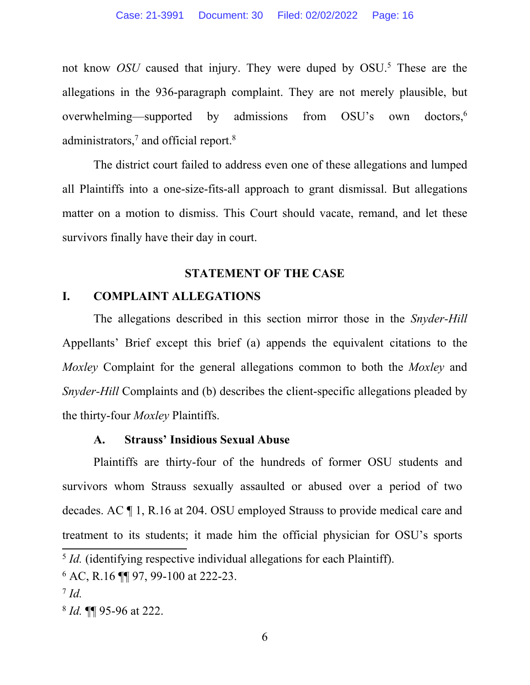not know *OSU* caused that injury. They were duped by OSU.5 These are the allegations in the 936-paragraph complaint. They are not merely plausible, but overwhelming—supported by admissions from OSU's own doctors,<sup>6</sup> administrators,<sup>7</sup> and official report.<sup>8</sup>

The district court failed to address even one of these allegations and lumped all Plaintiffs into a one-size-fits-all approach to grant dismissal. But allegations matter on a motion to dismiss. This Court should vacate, remand, and let these survivors finally have their day in court.

#### **STATEMENT OF THE CASE**

#### **I. COMPLAINT ALLEGATIONS**

The allegations described in this section mirror those in the *Snyder-Hill*  Appellants' Brief except this brief (a) appends the equivalent citations to the *Moxley* Complaint for the general allegations common to both the *Moxley* and *Snyder-Hill* Complaints and (b) describes the client-specific allegations pleaded by the thirty-four *Moxley* Plaintiffs.

#### **A. Strauss' Insidious Sexual Abuse**

Plaintiffs are thirty-four of the hundreds of former OSU students and survivors whom Strauss sexually assaulted or abused over a period of two decades. AC ¶ 1, R.16 at 204. OSU employed Strauss to provide medical care and treatment to its students; it made him the official physician for OSU's sports

<sup>&</sup>lt;sup>5</sup> *Id.* (identifying respective individual allegations for each Plaintiff).

<sup>6</sup> AC, R.16 ¶¶ 97, 99-100 at 222-23.

<sup>7</sup> *Id.*

<sup>8</sup> *Id.* ¶¶ 95-96 at 222.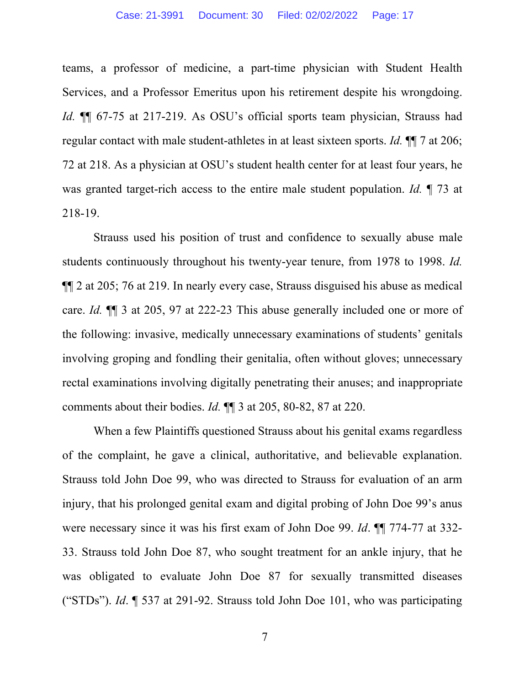teams, a professor of medicine, a part-time physician with Student Health Services, and a Professor Emeritus upon his retirement despite his wrongdoing. *Id.* ¶¶ 67-75 at 217-219. As OSU's official sports team physician, Strauss had regular contact with male student-athletes in at least sixteen sports. *Id.* ¶¶ 7 at 206; 72 at 218. As a physician at OSU's student health center for at least four years, he was granted target-rich access to the entire male student population. *Id.* ¶ 73 at 218-19.

Strauss used his position of trust and confidence to sexually abuse male students continuously throughout his twenty-year tenure, from 1978 to 1998. *Id.* ¶¶ 2 at 205; 76 at 219. In nearly every case, Strauss disguised his abuse as medical care. *Id.* ¶¶ 3 at 205, 97 at 222-23 This abuse generally included one or more of the following: invasive, medically unnecessary examinations of students' genitals involving groping and fondling their genitalia, often without gloves; unnecessary rectal examinations involving digitally penetrating their anuses; and inappropriate comments about their bodies. *Id.* ¶¶ 3 at 205, 80-82, 87 at 220.

When a few Plaintiffs questioned Strauss about his genital exams regardless of the complaint, he gave a clinical, authoritative, and believable explanation. Strauss told John Doe 99, who was directed to Strauss for evaluation of an arm injury, that his prolonged genital exam and digital probing of John Doe 99's anus were necessary since it was his first exam of John Doe 99. *Id*. ¶¶ 774-77 at 332- 33. Strauss told John Doe 87, who sought treatment for an ankle injury, that he was obligated to evaluate John Doe 87 for sexually transmitted diseases ("STDs"). *Id*. ¶ 537 at 291-92. Strauss told John Doe 101, who was participating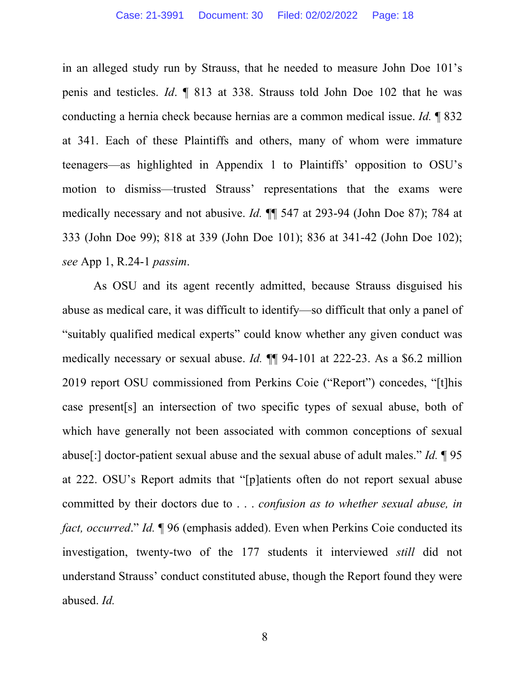in an alleged study run by Strauss, that he needed to measure John Doe 101's penis and testicles. *Id*. ¶ 813 at 338. Strauss told John Doe 102 that he was conducting a hernia check because hernias are a common medical issue. *Id.* ¶ 832 at 341. Each of these Plaintiffs and others, many of whom were immature teenagers—as highlighted in Appendix 1 to Plaintiffs' opposition to OSU's motion to dismiss—trusted Strauss' representations that the exams were medically necessary and not abusive. *Id.* ¶¶ 547 at 293-94 (John Doe 87); 784 at 333 (John Doe 99); 818 at 339 (John Doe 101); 836 at 341-42 (John Doe 102); *see* App 1, R.24-1 *passim*.

As OSU and its agent recently admitted, because Strauss disguised his abuse as medical care, it was difficult to identify—so difficult that only a panel of "suitably qualified medical experts" could know whether any given conduct was medically necessary or sexual abuse. *Id.* ¶¶ 94-101 at 222-23. As a \$6.2 million 2019 report OSU commissioned from Perkins Coie ("Report") concedes, "[t]his case present[s] an intersection of two specific types of sexual abuse, both of which have generally not been associated with common conceptions of sexual abuse[:] doctor-patient sexual abuse and the sexual abuse of adult males." *Id.* ¶ 95 at 222. OSU's Report admits that "[p]atients often do not report sexual abuse committed by their doctors due to . . . *confusion as to whether sexual abuse, in fact, occurred.*" *Id.* 196 (emphasis added). Even when Perkins Coie conducted its investigation, twenty-two of the 177 students it interviewed *still* did not understand Strauss' conduct constituted abuse, though the Report found they were abused. *Id.*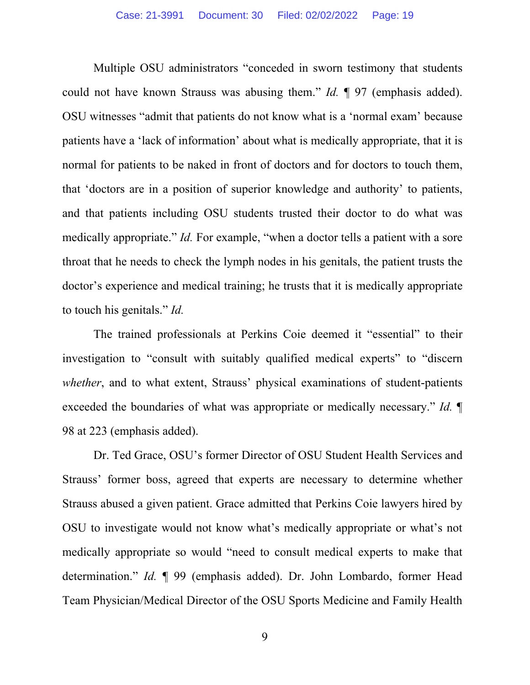Multiple OSU administrators "conceded in sworn testimony that students could not have known Strauss was abusing them." *Id.* ¶ 97 (emphasis added). OSU witnesses "admit that patients do not know what is a 'normal exam' because patients have a 'lack of information' about what is medically appropriate, that it is normal for patients to be naked in front of doctors and for doctors to touch them, that 'doctors are in a position of superior knowledge and authority' to patients, and that patients including OSU students trusted their doctor to do what was medically appropriate." *Id.* For example, "when a doctor tells a patient with a sore throat that he needs to check the lymph nodes in his genitals, the patient trusts the doctor's experience and medical training; he trusts that it is medically appropriate to touch his genitals." *Id.* 

The trained professionals at Perkins Coie deemed it "essential" to their investigation to "consult with suitably qualified medical experts" to "discern *whether*, and to what extent, Strauss' physical examinations of student-patients exceeded the boundaries of what was appropriate or medically necessary." *Id.* ¶ 98 at 223 (emphasis added).

Dr. Ted Grace, OSU's former Director of OSU Student Health Services and Strauss' former boss, agreed that experts are necessary to determine whether Strauss abused a given patient. Grace admitted that Perkins Coie lawyers hired by OSU to investigate would not know what's medically appropriate or what's not medically appropriate so would "need to consult medical experts to make that determination." *Id.* ¶ 99 (emphasis added). Dr. John Lombardo, former Head Team Physician/Medical Director of the OSU Sports Medicine and Family Health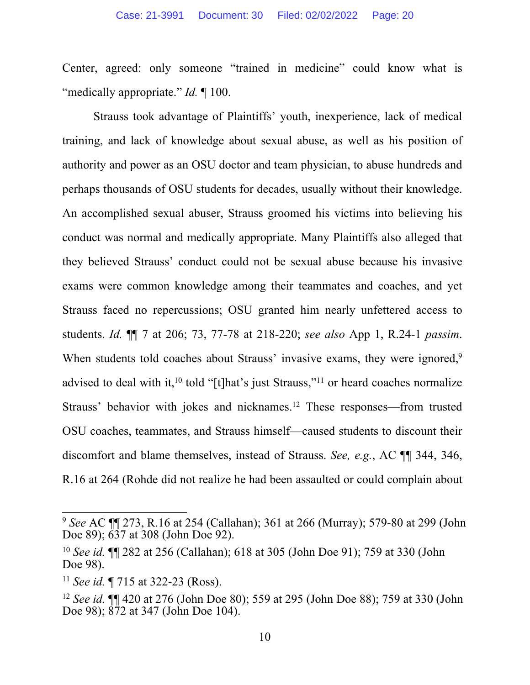Center, agreed: only someone "trained in medicine" could know what is "medically appropriate." *Id.* ¶ 100.

Strauss took advantage of Plaintiffs' youth, inexperience, lack of medical training, and lack of knowledge about sexual abuse, as well as his position of authority and power as an OSU doctor and team physician, to abuse hundreds and perhaps thousands of OSU students for decades, usually without their knowledge. An accomplished sexual abuser, Strauss groomed his victims into believing his conduct was normal and medically appropriate. Many Plaintiffs also alleged that they believed Strauss' conduct could not be sexual abuse because his invasive exams were common knowledge among their teammates and coaches, and yet Strauss faced no repercussions; OSU granted him nearly unfettered access to students. *Id.* ¶¶ 7 at 206; 73, 77-78 at 218-220; *see also* App 1, R.24-1 *passim*. When students told coaches about Strauss' invasive exams, they were ignored,<sup>9</sup> advised to deal with it,<sup>10</sup> told "[t]hat's just Strauss,"<sup>11</sup> or heard coaches normalize Strauss' behavior with jokes and nicknames.12 These responses—from trusted OSU coaches, teammates, and Strauss himself—caused students to discount their discomfort and blame themselves, instead of Strauss. *See, e.g.*, AC ¶¶ 344, 346, R.16 at 264 (Rohde did not realize he had been assaulted or could complain about

<sup>9</sup> *See* AC ¶¶ 273, R.16 at 254 (Callahan); 361 at 266 (Murray); 579-80 at 299 (John Doe 89); 637 at 308 (John Doe 92).

<sup>10</sup> *See id.* ¶¶ 282 at 256 (Callahan); 618 at 305 (John Doe 91); 759 at 330 (John Doe 98).

<sup>11</sup> *See id.* ¶ 715 at 322-23 (Ross).

<sup>12</sup> *See id.* ¶¶ 420 at 276 (John Doe 80); 559 at 295 (John Doe 88); 759 at 330 (John Doe 98); 872 at 347 (John Doe 104).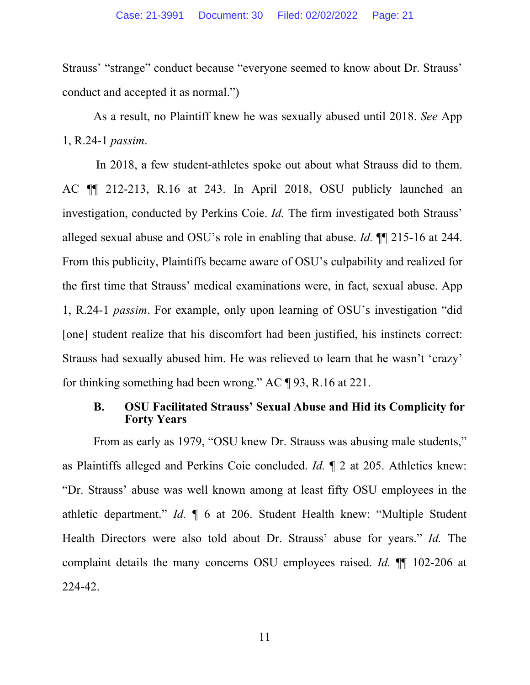Strauss' "strange" conduct because "everyone seemed to know about Dr. Strauss' conduct and accepted it as normal.")

As a result, no Plaintiff knew he was sexually abused until 2018. *See* App 1, R.24-1 *passim*.

In 2018, a few student-athletes spoke out about what Strauss did to them. AC ¶¶ 212-213, R.16 at 243. In April 2018, OSU publicly launched an investigation, conducted by Perkins Coie. *Id.* The firm investigated both Strauss' alleged sexual abuse and OSU's role in enabling that abuse. *Id.* ¶¶ 215-16 at 244. From this publicity, Plaintiffs became aware of OSU's culpability and realized for the first time that Strauss' medical examinations were, in fact, sexual abuse. App 1, R.24-1 *passim*. For example, only upon learning of OSU's investigation "did [one] student realize that his discomfort had been justified, his instincts correct: Strauss had sexually abused him. He was relieved to learn that he wasn't 'crazy' for thinking something had been wrong." AC ¶ 93, R.16 at 221.

#### **B. OSU Facilitated Strauss' Sexual Abuse and Hid its Complicity for Forty Years**

From as early as 1979, "OSU knew Dr. Strauss was abusing male students," as Plaintiffs alleged and Perkins Coie concluded. *Id.* ¶ 2 at 205. Athletics knew: "Dr. Strauss' abuse was well known among at least fifty OSU employees in the athletic department." *Id.* ¶ 6 at 206. Student Health knew: "Multiple Student Health Directors were also told about Dr. Strauss' abuse for years." *Id.* The complaint details the many concerns OSU employees raised. *Id.* ¶¶ 102-206 at 224-42.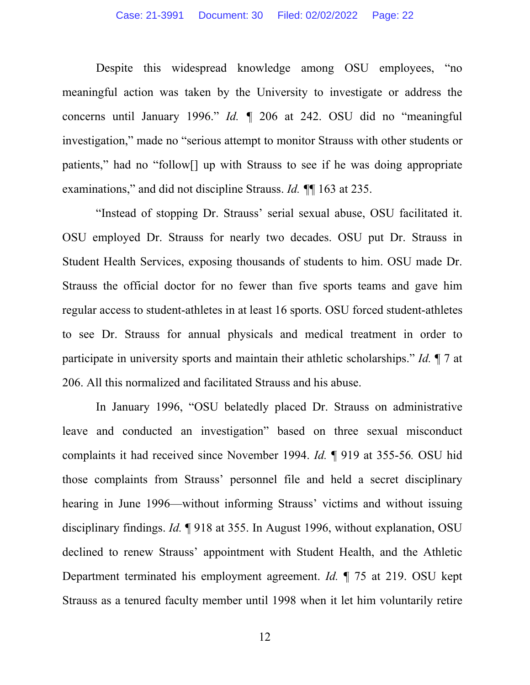Despite this widespread knowledge among OSU employees, "no meaningful action was taken by the University to investigate or address the concerns until January 1996." *Id. ¶* 206 at 242. OSU did no "meaningful investigation," made no "serious attempt to monitor Strauss with other students or patients," had no "follow[] up with Strauss to see if he was doing appropriate examinations," and did not discipline Strauss. *Id. ¶*¶ 163 at 235.

"Instead of stopping Dr. Strauss' serial sexual abuse, OSU facilitated it. OSU employed Dr. Strauss for nearly two decades. OSU put Dr. Strauss in Student Health Services, exposing thousands of students to him. OSU made Dr. Strauss the official doctor for no fewer than five sports teams and gave him regular access to student-athletes in at least 16 sports. OSU forced student-athletes to see Dr. Strauss for annual physicals and medical treatment in order to participate in university sports and maintain their athletic scholarships." *Id.* ¶ 7 at 206. All this normalized and facilitated Strauss and his abuse.

In January 1996, "OSU belatedly placed Dr. Strauss on administrative leave and conducted an investigation" based on three sexual misconduct complaints it had received since November 1994. *Id.* ¶ 919 at 355-56*.* OSU hid those complaints from Strauss' personnel file and held a secret disciplinary hearing in June 1996—without informing Strauss' victims and without issuing disciplinary findings. *Id.* ¶ 918 at 355. In August 1996, without explanation, OSU declined to renew Strauss' appointment with Student Health, and the Athletic Department terminated his employment agreement. *Id.* ¶ 75 at 219. OSU kept Strauss as a tenured faculty member until 1998 when it let him voluntarily retire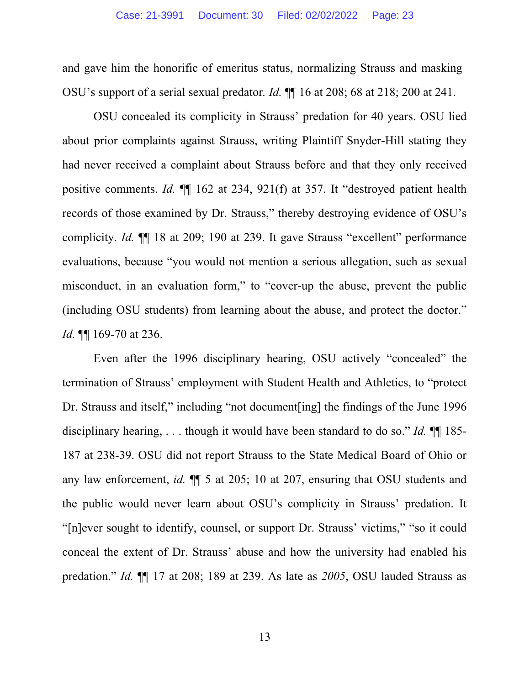and gave him the honorific of emeritus status, normalizing Strauss and masking OSU's support of a serial sexual predator*. Id.* ¶¶ 16 at 208; 68 at 218; 200 at 241.

OSU concealed its complicity in Strauss' predation for 40 years. OSU lied about prior complaints against Strauss, writing Plaintiff Snyder-Hill stating they had never received a complaint about Strauss before and that they only received positive comments. *Id.* ¶¶ 162 at 234, 921(f) at 357. It "destroyed patient health records of those examined by Dr. Strauss," thereby destroying evidence of OSU's complicity. *Id.* ¶¶ 18 at 209; 190 at 239. It gave Strauss "excellent" performance evaluations, because "you would not mention a serious allegation, such as sexual misconduct, in an evaluation form," to "cover-up the abuse, prevent the public (including OSU students) from learning about the abuse, and protect the doctor." *Id.* ¶¶ 169-70 at 236.

Even after the 1996 disciplinary hearing, OSU actively "concealed" the termination of Strauss' employment with Student Health and Athletics, to "protect Dr. Strauss and itself," including "not document[ing] the findings of the June 1996 disciplinary hearing, . . . though it would have been standard to do so." *Id.* ¶¶ 185- 187 at 238-39. OSU did not report Strauss to the State Medical Board of Ohio or any law enforcement, *id.* ¶¶ 5 at 205; 10 at 207, ensuring that OSU students and the public would never learn about OSU's complicity in Strauss' predation. It "[n]ever sought to identify, counsel, or support Dr. Strauss' victims," "so it could conceal the extent of Dr. Strauss' abuse and how the university had enabled his predation." *Id.* ¶¶ 17 at 208; 189 at 239. As late as *2005*, OSU lauded Strauss as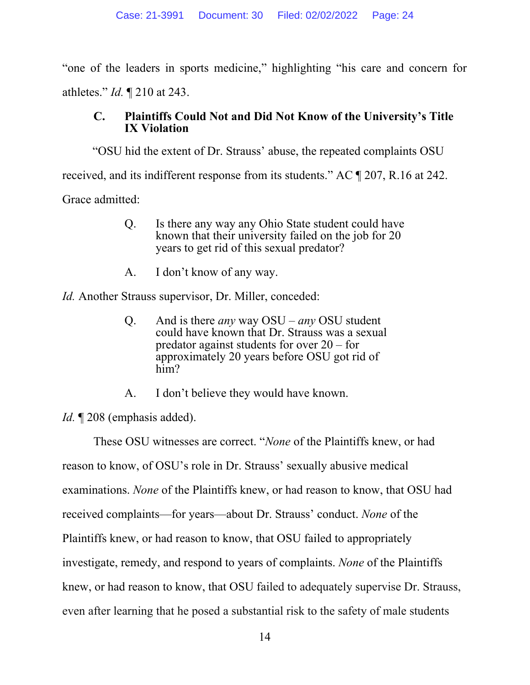"one of the leaders in sports medicine," highlighting "his care and concern for athletes." *Id.* ¶ 210 at 243.

# **C. Plaintiffs Could Not and Did Not Know of the University's Title IX Violation**

 "OSU hid the extent of Dr. Strauss' abuse, the repeated complaints OSU received, and its indifferent response from its students." AC ¶ 207, R.16 at 242. Grace admitted:

- Q. Is there any way any Ohio State student could have known that their university failed on the job for 20 years to get rid of this sexual predator?
- A. I don't know of any way.

*Id.* Another Strauss supervisor, Dr. Miller, conceded:

- Q. And is there *any* way OSU *any* OSU student could have known that Dr. Strauss was a sexual predator against students for over 20 – for approximately 20 years before OSU got rid of him?
- A. I don't believe they would have known.

*Id.* ¶ 208 (emphasis added).

These OSU witnesses are correct. "*None* of the Plaintiffs knew, or had reason to know, of OSU's role in Dr. Strauss' sexually abusive medical examinations. *None* of the Plaintiffs knew, or had reason to know, that OSU had received complaints—for years—about Dr. Strauss' conduct. *None* of the Plaintiffs knew, or had reason to know, that OSU failed to appropriately investigate, remedy, and respond to years of complaints. *None* of the Plaintiffs knew, or had reason to know, that OSU failed to adequately supervise Dr. Strauss, even after learning that he posed a substantial risk to the safety of male students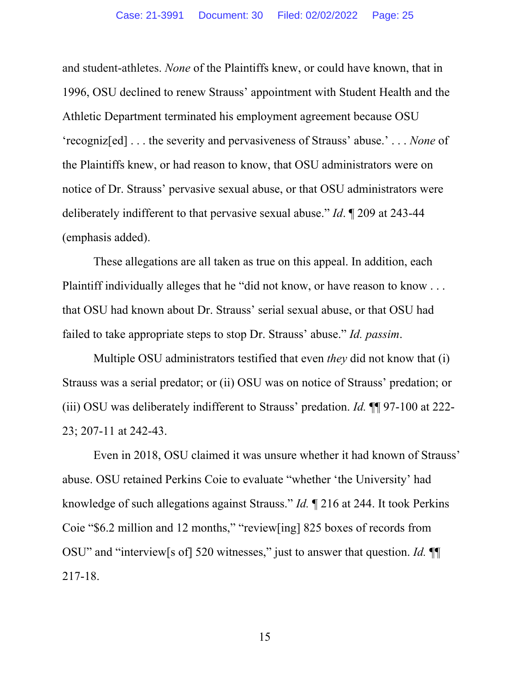and student-athletes. *None* of the Plaintiffs knew, or could have known, that in 1996, OSU declined to renew Strauss' appointment with Student Health and the Athletic Department terminated his employment agreement because OSU 'recogniz[ed] . . . the severity and pervasiveness of Strauss' abuse.' . . . *None* of the Plaintiffs knew, or had reason to know, that OSU administrators were on notice of Dr. Strauss' pervasive sexual abuse, or that OSU administrators were deliberately indifferent to that pervasive sexual abuse." *Id*. ¶ 209 at 243-44 (emphasis added).

These allegations are all taken as true on this appeal. In addition, each Plaintiff individually alleges that he "did not know, or have reason to know . . . that OSU had known about Dr. Strauss' serial sexual abuse, or that OSU had failed to take appropriate steps to stop Dr. Strauss' abuse." *Id. passim*.

Multiple OSU administrators testified that even *they* did not know that (i) Strauss was a serial predator; or (ii) OSU was on notice of Strauss' predation; or (iii) OSU was deliberately indifferent to Strauss' predation. *Id.* ¶¶ 97-100 at 222- 23; 207-11 at 242-43.

Even in 2018, OSU claimed it was unsure whether it had known of Strauss' abuse. OSU retained Perkins Coie to evaluate "whether 'the University' had knowledge of such allegations against Strauss." *Id.* ¶ 216 at 244. It took Perkins Coie "\$6.2 million and 12 months," "review[ing] 825 boxes of records from OSU" and "interview[s of] 520 witnesses," just to answer that question. *Id.* ¶¶ 217-18.

15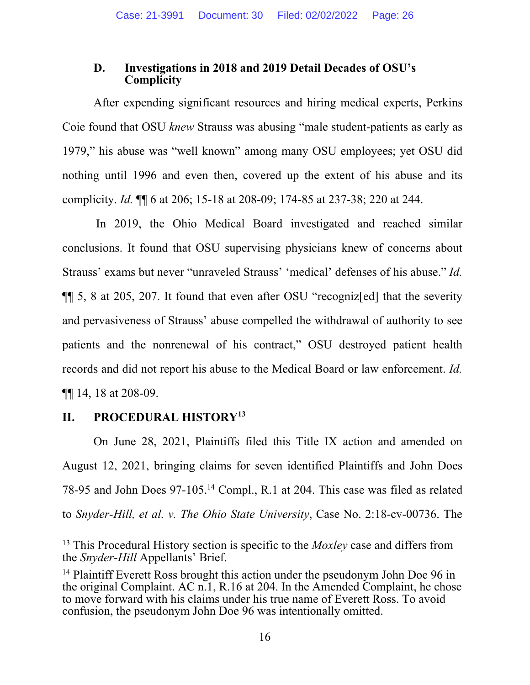# **D. Investigations in 2018 and 2019 Detail Decades of OSU's Complicity**

After expending significant resources and hiring medical experts, Perkins Coie found that OSU *knew* Strauss was abusing "male student-patients as early as 1979," his abuse was "well known" among many OSU employees; yet OSU did nothing until 1996 and even then, covered up the extent of his abuse and its complicity. *Id.* ¶¶ 6 at 206; 15-18 at 208-09; 174-85 at 237-38; 220 at 244.

In 2019, the Ohio Medical Board investigated and reached similar conclusions. It found that OSU supervising physicians knew of concerns about Strauss' exams but never "unraveled Strauss' 'medical' defenses of his abuse." *Id.*  ¶¶ 5, 8 at 205, 207. It found that even after OSU "recogniz[ed] that the severity and pervasiveness of Strauss' abuse compelled the withdrawal of authority to see patients and the nonrenewal of his contract," OSU destroyed patient health records and did not report his abuse to the Medical Board or law enforcement. *Id.*  ¶¶ 14, 18 at 208-09.

# **II. PROCEDURAL HISTORY13**

On June 28, 2021, Plaintiffs filed this Title IX action and amended on August 12, 2021, bringing claims for seven identified Plaintiffs and John Does 78-95 and John Does 97-105.14 Compl., R.1 at 204. This case was filed as related to *Snyder-Hill, et al. v. The Ohio State University*, Case No. 2:18-cv-00736. The

<sup>13</sup> This Procedural History section is specific to the *Moxley* case and differs from the *Snyder-Hill* Appellants' Brief.

<sup>&</sup>lt;sup>14</sup> Plaintiff Everett Ross brought this action under the pseudonym John Doe 96 in the original Complaint. AC n.1, R.16 at 204. In the Amended Complaint, he chose to move forward with his claims under his true name of Everett Ross. To avoid confusion, the pseudonym John Doe 96 was intentionally omitted.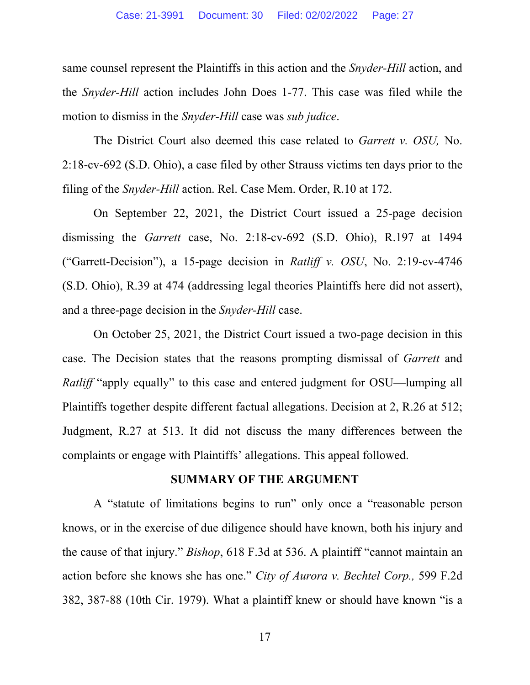same counsel represent the Plaintiffs in this action and the *Snyder-Hill* action, and the *Snyder-Hill* action includes John Does 1-77. This case was filed while the motion to dismiss in the *Snyder-Hill* case was *sub judice*.

The District Court also deemed this case related to *Garrett v. OSU,* No. 2:18-cv-692 (S.D. Ohio), a case filed by other Strauss victims ten days prior to the filing of the *Snyder-Hill* action. Rel. Case Mem. Order, R.10 at 172.

On September 22, 2021, the District Court issued a 25-page decision dismissing the *Garrett* case, No. 2:18-cv-692 (S.D. Ohio), R.197 at 1494 ("Garrett-Decision"), a 15-page decision in *Ratliff v. OSU*, No. 2:19-cv-4746 (S.D. Ohio), R.39 at 474 (addressing legal theories Plaintiffs here did not assert), and a three-page decision in the *Snyder-Hill* case.

On October 25, 2021, the District Court issued a two-page decision in this case. The Decision states that the reasons prompting dismissal of *Garrett* and *Ratliff* "apply equally" to this case and entered judgment for OSU—lumping all Plaintiffs together despite different factual allegations. Decision at 2, R.26 at 512; Judgment, R.27 at 513. It did not discuss the many differences between the complaints or engage with Plaintiffs' allegations. This appeal followed.

#### **SUMMARY OF THE ARGUMENT**

A "statute of limitations begins to run" only once a "reasonable person knows, or in the exercise of due diligence should have known, both his injury and the cause of that injury." *Bishop*, 618 F.3d at 536. A plaintiff "cannot maintain an action before she knows she has one." *City of Aurora v. Bechtel Corp.,* 599 F.2d 382, 387-88 (10th Cir. 1979). What a plaintiff knew or should have known "is a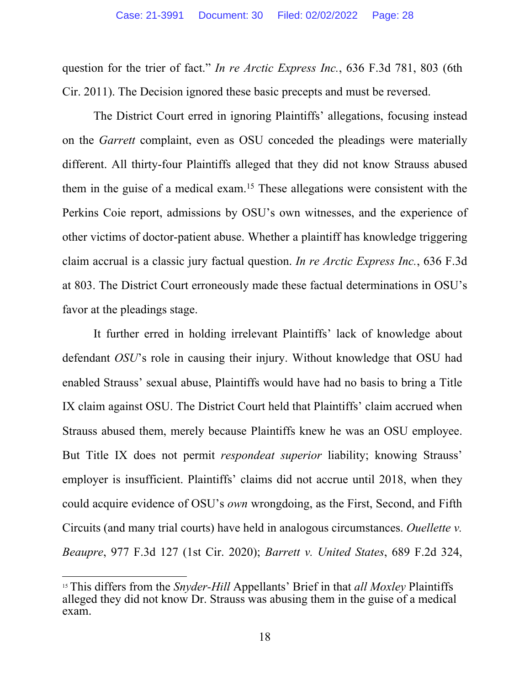question for the trier of fact." *In re Arctic Express Inc.*, 636 F.3d 781, 803 (6th Cir. 2011). The Decision ignored these basic precepts and must be reversed.

The District Court erred in ignoring Plaintiffs' allegations, focusing instead on the *Garrett* complaint, even as OSU conceded the pleadings were materially different. All thirty-four Plaintiffs alleged that they did not know Strauss abused them in the guise of a medical exam.15 These allegations were consistent with the Perkins Coie report, admissions by OSU's own witnesses, and the experience of other victims of doctor-patient abuse. Whether a plaintiff has knowledge triggering claim accrual is a classic jury factual question. *In re Arctic Express Inc.*, 636 F.3d at 803. The District Court erroneously made these factual determinations in OSU's favor at the pleadings stage.

It further erred in holding irrelevant Plaintiffs' lack of knowledge about defendant *OSU*'s role in causing their injury. Without knowledge that OSU had enabled Strauss' sexual abuse, Plaintiffs would have had no basis to bring a Title IX claim against OSU. The District Court held that Plaintiffs' claim accrued when Strauss abused them, merely because Plaintiffs knew he was an OSU employee. But Title IX does not permit *respondeat superior* liability; knowing Strauss' employer is insufficient. Plaintiffs' claims did not accrue until 2018, when they could acquire evidence of OSU's *own* wrongdoing, as the First, Second, and Fifth Circuits (and many trial courts) have held in analogous circumstances. *Ouellette v. Beaupre*, 977 F.3d 127 (1st Cir. 2020); *Barrett v. United States*, 689 F.2d 324,

<sup>15</sup> This differs from the *Snyder-Hill* Appellants' Brief in that *all Moxley* Plaintiffs alleged they did not know Dr. Strauss was abusing them in the guise of a medical exam.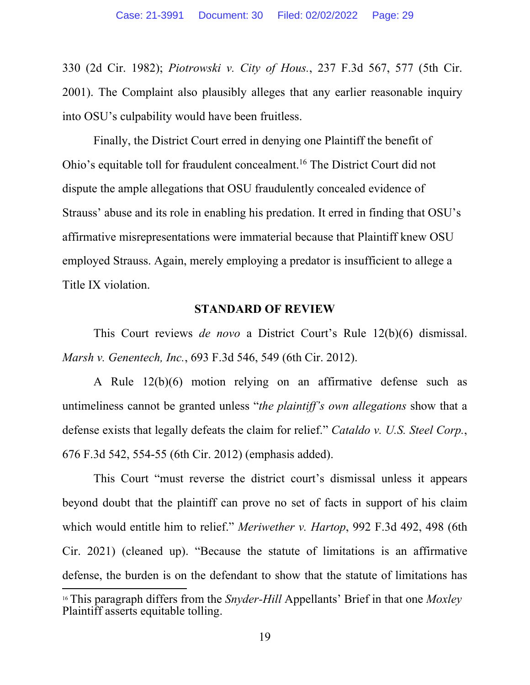330 (2d Cir. 1982); *Piotrowski v. City of Hous.*, 237 F.3d 567, 577 (5th Cir. 2001). The Complaint also plausibly alleges that any earlier reasonable inquiry into OSU's culpability would have been fruitless.

Finally, the District Court erred in denying one Plaintiff the benefit of Ohio's equitable toll for fraudulent concealment.16 The District Court did not dispute the ample allegations that OSU fraudulently concealed evidence of Strauss' abuse and its role in enabling his predation. It erred in finding that OSU's affirmative misrepresentations were immaterial because that Plaintiff knew OSU employed Strauss. Again, merely employing a predator is insufficient to allege a Title IX violation.

#### **STANDARD OF REVIEW**

This Court reviews *de novo* a District Court's Rule 12(b)(6) dismissal. *Marsh v. Genentech, Inc.*, 693 F.3d 546, 549 (6th Cir. 2012).

A Rule 12(b)(6) motion relying on an affirmative defense such as untimeliness cannot be granted unless "*the plaintiff's own allegations* show that a defense exists that legally defeats the claim for relief." *Cataldo v. U.S. Steel Corp.*, 676 F.3d 542, 554-55 (6th Cir. 2012) (emphasis added).

This Court "must reverse the district court's dismissal unless it appears beyond doubt that the plaintiff can prove no set of facts in support of his claim which would entitle him to relief." *Meriwether v. Hartop*, 992 F.3d 492, 498 (6th Cir. 2021) (cleaned up). "Because the statute of limitations is an affirmative defense, the burden is on the defendant to show that the statute of limitations has <sup>16</sup> This paragraph differs from the *Snyder-Hill* Appellants' Brief in that one *Moxley*  Plaintiff asserts equitable tolling.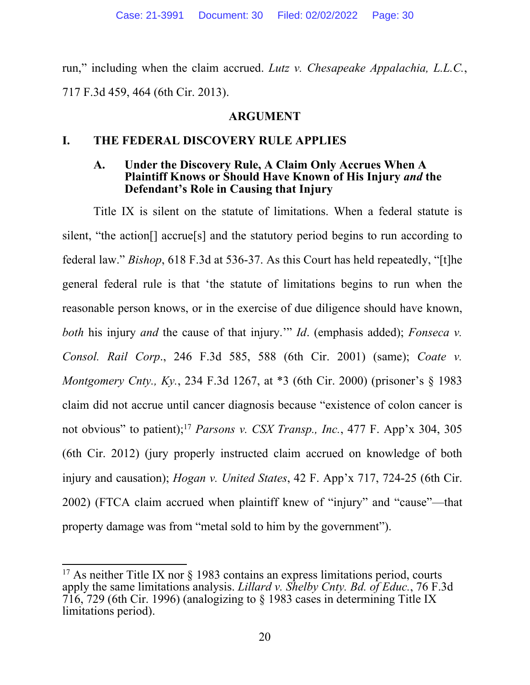run," including when the claim accrued. *Lutz v. Chesapeake Appalachia, L.L.C.*, 717 F.3d 459, 464 (6th Cir. 2013).

# **ARGUMENT**

# **I. THE FEDERAL DISCOVERY RULE APPLIES**

#### **A. Under the Discovery Rule, A Claim Only Accrues When A Plaintiff Knows or Should Have Known of His Injury** *and* **the Defendant's Role in Causing that Injury**

Title IX is silent on the statute of limitations. When a federal statute is silent, "the action[] accrue[s] and the statutory period begins to run according to federal law." *Bishop*, 618 F.3d at 536-37. As this Court has held repeatedly, "[t]he general federal rule is that 'the statute of limitations begins to run when the reasonable person knows, or in the exercise of due diligence should have known, *both* his injury *and* the cause of that injury.'" *Id*. (emphasis added); *Fonseca v. Consol. Rail Corp*., 246 F.3d 585, 588 (6th Cir. 2001) (same); *Coate v. Montgomery Cnty., Ky.*, 234 F.3d 1267, at \*3 (6th Cir. 2000) (prisoner's § 1983 claim did not accrue until cancer diagnosis because "existence of colon cancer is not obvious" to patient);17 *Parsons v. CSX Transp., Inc.*, 477 F. App'x 304, 305 (6th Cir. 2012) (jury properly instructed claim accrued on knowledge of both injury and causation); *Hogan v. United States*, 42 F. App'x 717, 724-25 (6th Cir. 2002) (FTCA claim accrued when plaintiff knew of "injury" and "cause"—that property damage was from "metal sold to him by the government").

<sup>&</sup>lt;sup>17</sup> As neither Title IX nor  $\S$  1983 contains an express limitations period, courts apply the same limitations analysis. *Lillard v. Shelby Cnty. Bd. of Educ.*, 76 F.3d 716, 729 (6th Cir. 1996) (analogizing to § 1983 cases in determining Title IX limitations period).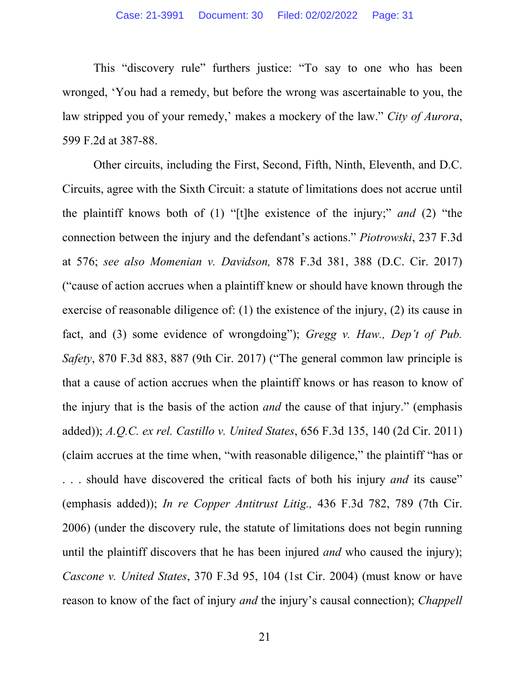This "discovery rule" furthers justice: "To say to one who has been wronged, 'You had a remedy, but before the wrong was ascertainable to you, the law stripped you of your remedy,' makes a mockery of the law." *City of Aurora*, 599 F.2d at 387-88.

Other circuits, including the First, Second, Fifth, Ninth, Eleventh, and D.C. Circuits, agree with the Sixth Circuit: a statute of limitations does not accrue until the plaintiff knows both of (1) "[t]he existence of the injury;" *and* (2) "the connection between the injury and the defendant's actions." *Piotrowski*, 237 F.3d at 576; *see also Momenian v. Davidson,* 878 F.3d 381, 388 (D.C. Cir. 2017) ("cause of action accrues when a plaintiff knew or should have known through the exercise of reasonable diligence of: (1) the existence of the injury, (2) its cause in fact, and (3) some evidence of wrongdoing"); *Gregg v. Haw., Dep't of Pub. Safety*, 870 F.3d 883, 887 (9th Cir. 2017) ("The general common law principle is that a cause of action accrues when the plaintiff knows or has reason to know of the injury that is the basis of the action *and* the cause of that injury." (emphasis added)); *A.Q.C. ex rel. Castillo v. United States*, 656 F.3d 135, 140 (2d Cir. 2011) (claim accrues at the time when, "with reasonable diligence," the plaintiff "has or . . . should have discovered the critical facts of both his injury *and* its cause" (emphasis added)); *In re Copper Antitrust Litig.,* 436 F.3d 782, 789 (7th Cir. 2006) (under the discovery rule, the statute of limitations does not begin running until the plaintiff discovers that he has been injured *and* who caused the injury); *Cascone v. United States*, 370 F.3d 95, 104 (1st Cir. 2004) (must know or have reason to know of the fact of injury *and* the injury's causal connection); *Chappell*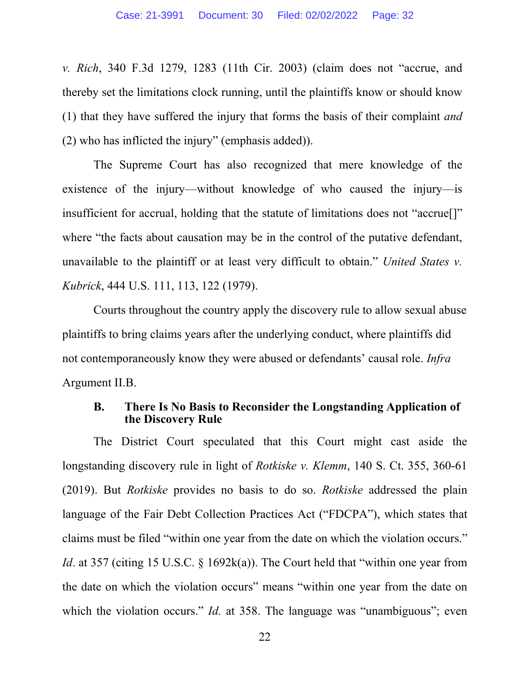*v. Rich*, 340 F.3d 1279, 1283 (11th Cir. 2003) (claim does not "accrue, and thereby set the limitations clock running, until the plaintiffs know or should know (1) that they have suffered the injury that forms the basis of their complaint *and* (2) who has inflicted the injury" (emphasis added)).

The Supreme Court has also recognized that mere knowledge of the existence of the injury—without knowledge of who caused the injury—is insufficient for accrual, holding that the statute of limitations does not "accrue[]" where "the facts about causation may be in the control of the putative defendant, unavailable to the plaintiff or at least very difficult to obtain." *United States v. Kubrick*, 444 U.S. 111, 113, 122 (1979).

Courts throughout the country apply the discovery rule to allow sexual abuse plaintiffs to bring claims years after the underlying conduct, where plaintiffs did not contemporaneously know they were abused or defendants' causal role. *Infra*  Argument II.B.

#### **B. There Is No Basis to Reconsider the Longstanding Application of the Discovery Rule**

The District Court speculated that this Court might cast aside the longstanding discovery rule in light of *Rotkiske v. Klemm*, 140 S. Ct. 355, 360-61 (2019). But *Rotkiske* provides no basis to do so. *Rotkiske* addressed the plain language of the Fair Debt Collection Practices Act ("FDCPA"), which states that claims must be filed "within one year from the date on which the violation occurs." *Id*. at 357 (citing 15 U.S.C. § 1692k(a)). The Court held that "within one year from the date on which the violation occurs" means "within one year from the date on which the violation occurs." *Id.* at 358. The language was "unambiguous"; even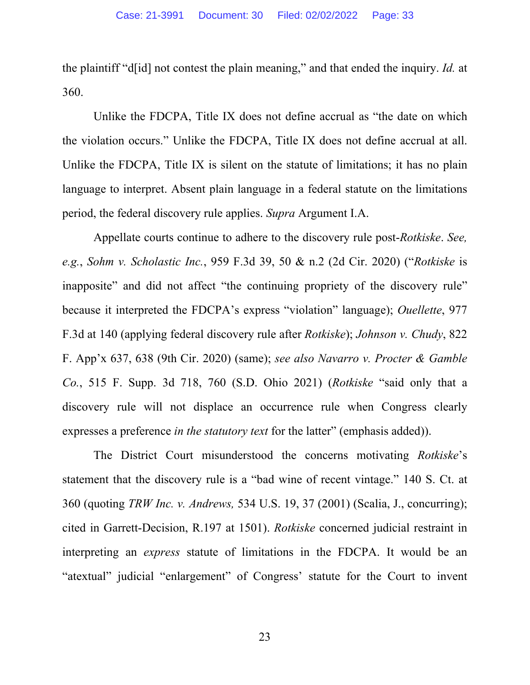the plaintiff "d[id] not contest the plain meaning," and that ended the inquiry. *Id.* at 360.

Unlike the FDCPA, Title IX does not define accrual as "the date on which the violation occurs." Unlike the FDCPA, Title IX does not define accrual at all. Unlike the FDCPA, Title IX is silent on the statute of limitations; it has no plain language to interpret. Absent plain language in a federal statute on the limitations period, the federal discovery rule applies. *Supra* Argument I.A.

Appellate courts continue to adhere to the discovery rule post-*Rotkiske*. *See, e.g.*, *Sohm v. Scholastic Inc.*, 959 F.3d 39, 50 & n.2 (2d Cir. 2020) ("*Rotkiske* is inapposite" and did not affect "the continuing propriety of the discovery rule" because it interpreted the FDCPA's express "violation" language); *Ouellette*, 977 F.3d at 140 (applying federal discovery rule after *Rotkiske*); *Johnson v. Chudy*, 822 F. App'x 637, 638 (9th Cir. 2020) (same); *see also Navarro v. Procter & Gamble Co.*, 515 F. Supp. 3d 718, 760 (S.D. Ohio 2021) (*Rotkiske* "said only that a discovery rule will not displace an occurrence rule when Congress clearly expresses a preference *in the statutory text* for the latter" (emphasis added)).

The District Court misunderstood the concerns motivating *Rotkiske*'s statement that the discovery rule is a "bad wine of recent vintage." 140 S. Ct. at 360 (quoting *TRW Inc. v. Andrews,* 534 U.S. 19, 37 (2001) (Scalia, J., concurring); cited in Garrett-Decision, R.197 at 1501). *Rotkiske* concerned judicial restraint in interpreting an *express* statute of limitations in the FDCPA. It would be an "atextual" judicial "enlargement" of Congress' statute for the Court to invent

23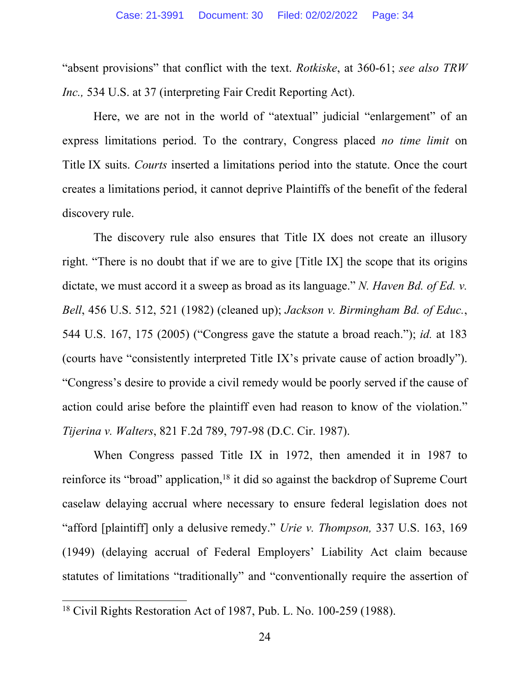"absent provisions" that conflict with the text. *Rotkiske*, at 360-61; *see also TRW Inc.,* 534 U.S. at 37 (interpreting Fair Credit Reporting Act).

Here, we are not in the world of "atextual" judicial "enlargement" of an express limitations period. To the contrary, Congress placed *no time limit* on Title IX suits. *Courts* inserted a limitations period into the statute. Once the court creates a limitations period, it cannot deprive Plaintiffs of the benefit of the federal discovery rule.

The discovery rule also ensures that Title IX does not create an illusory right. "There is no doubt that if we are to give [Title IX] the scope that its origins dictate, we must accord it a sweep as broad as its language." *N. Haven Bd. of Ed. v. Bell*, 456 U.S. 512, 521 (1982) (cleaned up); *Jackson v. Birmingham Bd. of Educ.*, 544 U.S. 167, 175 (2005) ("Congress gave the statute a broad reach."); *id.* at 183 (courts have "consistently interpreted Title IX's private cause of action broadly"). "Congress's desire to provide a civil remedy would be poorly served if the cause of action could arise before the plaintiff even had reason to know of the violation." *Tijerina v. Walters*, 821 F.2d 789, 797-98 (D.C. Cir. 1987).

When Congress passed Title IX in 1972, then amended it in 1987 to reinforce its "broad" application,<sup>18</sup> it did so against the backdrop of Supreme Court caselaw delaying accrual where necessary to ensure federal legislation does not "afford [plaintiff] only a delusive remedy." *Urie v. Thompson,* 337 U.S. 163, 169 (1949) (delaying accrual of Federal Employers' Liability Act claim because statutes of limitations "traditionally" and "conventionally require the assertion of

<sup>18</sup> Civil Rights Restoration Act of 1987, Pub. L. No. 100-259 (1988).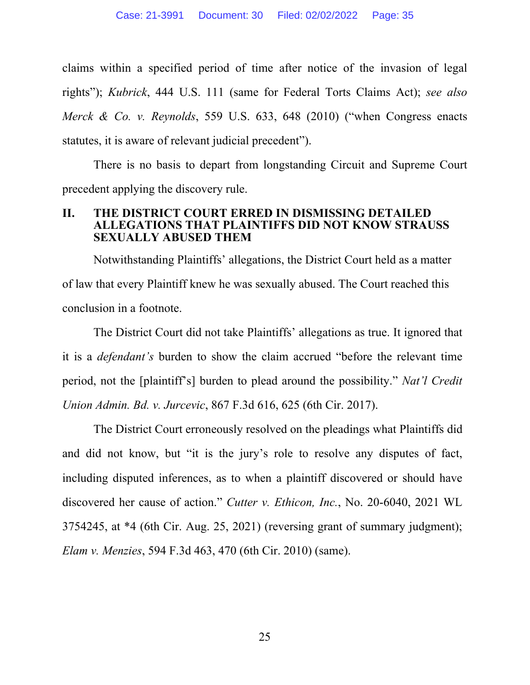claims within a specified period of time after notice of the invasion of legal rights"); *Kubrick*, 444 U.S. 111 (same for Federal Torts Claims Act); *see also Merck & Co. v. Reynolds*, 559 U.S. 633, 648 (2010) ("when Congress enacts statutes, it is aware of relevant judicial precedent").

There is no basis to depart from longstanding Circuit and Supreme Court precedent applying the discovery rule.

#### **II. THE DISTRICT COURT ERRED IN DISMISSING DETAILED LEGATIONS THAT PLAINTIFFS DID NOT KNOW STRAUSS SEXUALLY ABUSED THEM**

Notwithstanding Plaintiffs' allegations, the District Court held as a matter of law that every Plaintiff knew he was sexually abused. The Court reached this conclusion in a footnote.

The District Court did not take Plaintiffs' allegations as true. It ignored that it is a *defendant's* burden to show the claim accrued "before the relevant time period, not the [plaintiff's] burden to plead around the possibility." *Nat'l Credit Union Admin. Bd. v. Jurcevic*, 867 F.3d 616, 625 (6th Cir. 2017).

The District Court erroneously resolved on the pleadings what Plaintiffs did and did not know, but "it is the jury's role to resolve any disputes of fact, including disputed inferences, as to when a plaintiff discovered or should have discovered her cause of action." *Cutter v. Ethicon, Inc.*, No. 20-6040, 2021 WL 3754245, at \*4 (6th Cir. Aug. 25, 2021) (reversing grant of summary judgment); *Elam v. Menzies*, 594 F.3d 463, 470 (6th Cir. 2010) (same).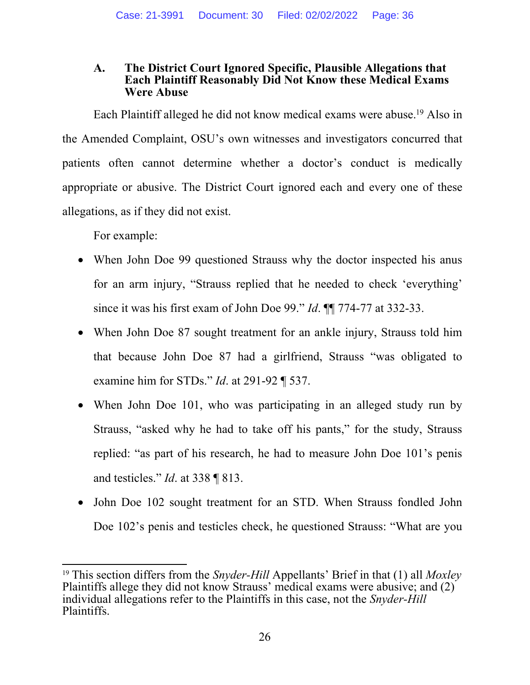#### **A. The District Court Ignored Specific, Plausible Allegations that Each Plaintiff Reasonably Did Not Know these Medical Exams Were Abuse**

Each Plaintiff alleged he did not know medical exams were abuse.19 Also in the Amended Complaint, OSU's own witnesses and investigators concurred that patients often cannot determine whether a doctor's conduct is medically appropriate or abusive. The District Court ignored each and every one of these allegations, as if they did not exist.

For example:

- When John Doe 99 questioned Strauss why the doctor inspected his anus for an arm injury, "Strauss replied that he needed to check 'everything' since it was his first exam of John Doe 99." *Id*. ¶¶ 774-77 at 332-33.
- When John Doe 87 sought treatment for an ankle injury, Strauss told him that because John Doe 87 had a girlfriend, Strauss "was obligated to examine him for STDs." *Id*. at 291-92 ¶ 537.
- When John Doe 101, who was participating in an alleged study run by Strauss, "asked why he had to take off his pants," for the study, Strauss replied: "as part of his research, he had to measure John Doe 101's penis and testicles." *Id*. at 338 ¶ 813.
- John Doe 102 sought treatment for an STD. When Strauss fondled John Doe 102's penis and testicles check, he questioned Strauss: "What are you

<sup>19</sup> This section differs from the *Snyder-Hill* Appellants' Brief in that (1) all *Moxley*  Plaintiffs allege they did not know Strauss' medical exams were abusive; and (2) individual allegations refer to the Plaintiffs in this case, not the *Snyder-Hill* Plaintiffs.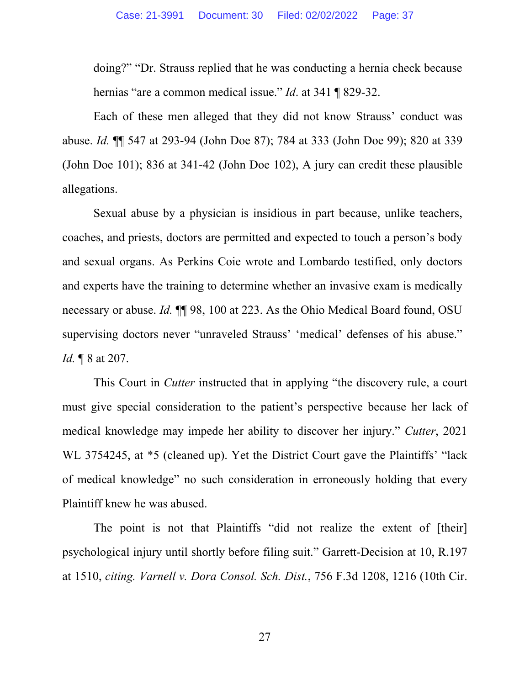doing?" "Dr. Strauss replied that he was conducting a hernia check because hernias "are a common medical issue." *Id*. at 341 ¶ 829-32.

Each of these men alleged that they did not know Strauss' conduct was abuse. *Id.* ¶¶ 547 at 293-94 (John Doe 87); 784 at 333 (John Doe 99); 820 at 339 (John Doe 101); 836 at 341-42 (John Doe 102), A jury can credit these plausible allegations.

Sexual abuse by a physician is insidious in part because, unlike teachers, coaches, and priests, doctors are permitted and expected to touch a person's body and sexual organs. As Perkins Coie wrote and Lombardo testified, only doctors and experts have the training to determine whether an invasive exam is medically necessary or abuse. *Id.* ¶¶ 98, 100 at 223. As the Ohio Medical Board found, OSU supervising doctors never "unraveled Strauss' 'medical' defenses of his abuse." *Id.* ¶ 8 at 207.

This Court in *Cutter* instructed that in applying "the discovery rule, a court must give special consideration to the patient's perspective because her lack of medical knowledge may impede her ability to discover her injury." *Cutter*, 2021 WL 3754245, at \*5 (cleaned up). Yet the District Court gave the Plaintiffs' "lack of medical knowledge" no such consideration in erroneously holding that every Plaintiff knew he was abused.

The point is not that Plaintiffs "did not realize the extent of [their] psychological injury until shortly before filing suit." Garrett-Decision at 10, R.197 at 1510, *citing. Varnell v. Dora Consol. Sch. Dist.*, 756 F.3d 1208, 1216 (10th Cir.

27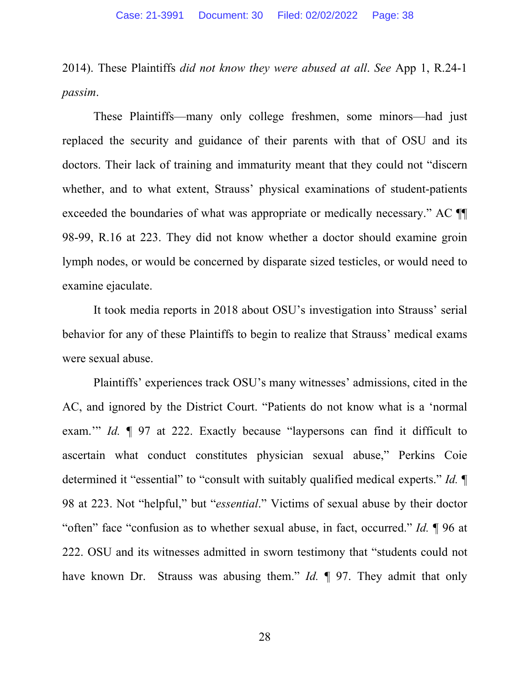2014). These Plaintiffs *did not know they were abused at all*. *See* App 1, R.24-1 *passim*.

These Plaintiffs—many only college freshmen, some minors—had just replaced the security and guidance of their parents with that of OSU and its doctors. Their lack of training and immaturity meant that they could not "discern whether, and to what extent, Strauss' physical examinations of student-patients exceeded the boundaries of what was appropriate or medically necessary." AC ¶¶ 98-99, R.16 at 223. They did not know whether a doctor should examine groin lymph nodes, or would be concerned by disparate sized testicles, or would need to examine ejaculate.

It took media reports in 2018 about OSU's investigation into Strauss' serial behavior for any of these Plaintiffs to begin to realize that Strauss' medical exams were sexual abuse.

Plaintiffs' experiences track OSU's many witnesses' admissions, cited in the AC, and ignored by the District Court. "Patients do not know what is a 'normal exam." *Id.* 197 at 222. Exactly because "laypersons can find it difficult to ascertain what conduct constitutes physician sexual abuse," Perkins Coie determined it "essential" to "consult with suitably qualified medical experts." *Id.* ¶ 98 at 223. Not "helpful," but "*essential*." Victims of sexual abuse by their doctor "often" face "confusion as to whether sexual abuse, in fact, occurred." *Id.* ¶ 96 at 222. OSU and its witnesses admitted in sworn testimony that "students could not have known Dr. Strauss was abusing them." *Id.* ¶ 97. They admit that only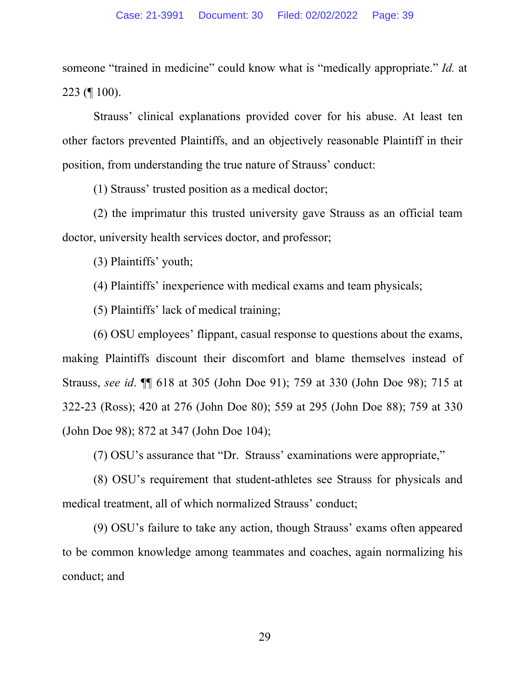someone "trained in medicine" could know what is "medically appropriate." *Id.* at 223 (¶ 100).

Strauss' clinical explanations provided cover for his abuse. At least ten other factors prevented Plaintiffs, and an objectively reasonable Plaintiff in their position, from understanding the true nature of Strauss' conduct:

(1) Strauss' trusted position as a medical doctor;

(2) the imprimatur this trusted university gave Strauss as an official team doctor, university health services doctor, and professor;

(3) Plaintiffs' youth;

(4) Plaintiffs' inexperience with medical exams and team physicals;

(5) Plaintiffs' lack of medical training;

(6) OSU employees' flippant, casual response to questions about the exams, making Plaintiffs discount their discomfort and blame themselves instead of Strauss, *see id*. ¶¶ 618 at 305 (John Doe 91); 759 at 330 (John Doe 98); 715 at 322-23 (Ross); 420 at 276 (John Doe 80); 559 at 295 (John Doe 88); 759 at 330 (John Doe 98); 872 at 347 (John Doe 104);

(7) OSU's assurance that "Dr. Strauss' examinations were appropriate,"

(8) OSU's requirement that student-athletes see Strauss for physicals and medical treatment, all of which normalized Strauss' conduct;

(9) OSU's failure to take any action, though Strauss' exams often appeared to be common knowledge among teammates and coaches, again normalizing his conduct; and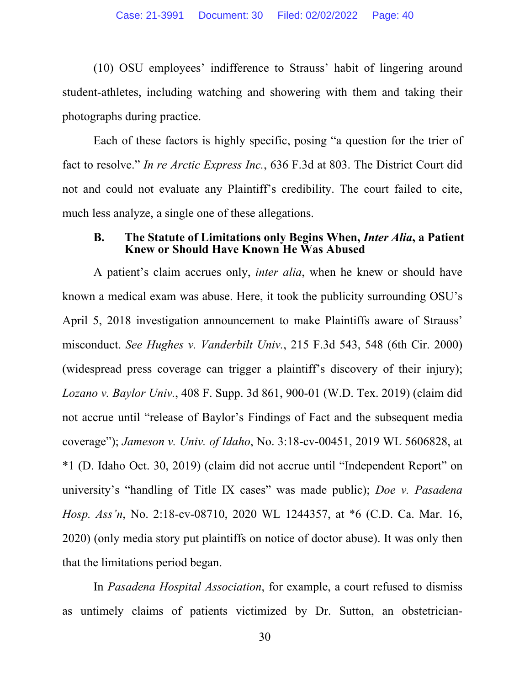(10) OSU employees' indifference to Strauss' habit of lingering around student-athletes, including watching and showering with them and taking their photographs during practice.

Each of these factors is highly specific, posing "a question for the trier of fact to resolve." *In re Arctic Express Inc.*, 636 F.3d at 803. The District Court did not and could not evaluate any Plaintiff's credibility. The court failed to cite, much less analyze, a single one of these allegations.

#### **B. The Statute of Limitations only Begins When,** *Inter Alia***, a Patient Knew or Should Have Known He Was Abused**

A patient's claim accrues only, *inter alia*, when he knew or should have known a medical exam was abuse. Here, it took the publicity surrounding OSU's April 5, 2018 investigation announcement to make Plaintiffs aware of Strauss' misconduct. *See Hughes v. Vanderbilt Univ.*, 215 F.3d 543, 548 (6th Cir. 2000) (widespread press coverage can trigger a plaintiff's discovery of their injury); *Lozano v. Baylor Univ.*, 408 F. Supp. 3d 861, 900-01 (W.D. Tex. 2019) (claim did not accrue until "release of Baylor's Findings of Fact and the subsequent media coverage"); *Jameson v. Univ. of Idaho*, No. 3:18-cv-00451, 2019 WL 5606828, at \*1 (D. Idaho Oct. 30, 2019) (claim did not accrue until "Independent Report" on university's "handling of Title IX cases" was made public); *Doe v. Pasadena Hosp. Ass'n*, No. 2:18-cv-08710, 2020 WL 1244357, at \*6 (C.D. Ca. Mar. 16, 2020) (only media story put plaintiffs on notice of doctor abuse). It was only then that the limitations period began.

In *Pasadena Hospital Association*, for example, a court refused to dismiss as untimely claims of patients victimized by Dr. Sutton, an obstetrician-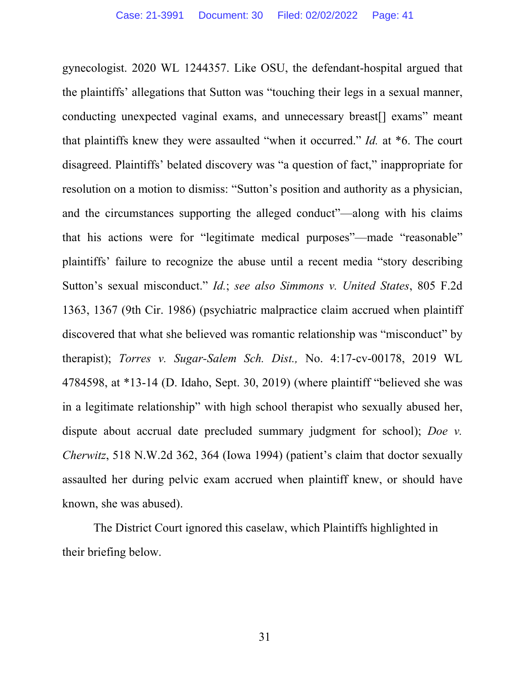gynecologist. 2020 WL 1244357. Like OSU, the defendant-hospital argued that the plaintiffs' allegations that Sutton was "touching their legs in a sexual manner, conducting unexpected vaginal exams, and unnecessary breast[] exams" meant that plaintiffs knew they were assaulted "when it occurred." *Id.* at \*6. The court disagreed. Plaintiffs' belated discovery was "a question of fact," inappropriate for resolution on a motion to dismiss: "Sutton's position and authority as a physician, and the circumstances supporting the alleged conduct"—along with his claims that his actions were for "legitimate medical purposes"—made "reasonable" plaintiffs' failure to recognize the abuse until a recent media "story describing Sutton's sexual misconduct." *Id.*; *see also Simmons v. United States*, 805 F.2d 1363, 1367 (9th Cir. 1986) (psychiatric malpractice claim accrued when plaintiff discovered that what she believed was romantic relationship was "misconduct" by therapist); *Torres v. Sugar-Salem Sch. Dist.,* No. 4:17-cv-00178, 2019 WL 4784598, at \*13-14 (D. Idaho, Sept. 30, 2019) (where plaintiff "believed she was in a legitimate relationship" with high school therapist who sexually abused her, dispute about accrual date precluded summary judgment for school); *Doe v. Cherwitz*, 518 N.W.2d 362, 364 (Iowa 1994) (patient's claim that doctor sexually assaulted her during pelvic exam accrued when plaintiff knew, or should have known, she was abused).

The District Court ignored this caselaw, which Plaintiffs highlighted in their briefing below.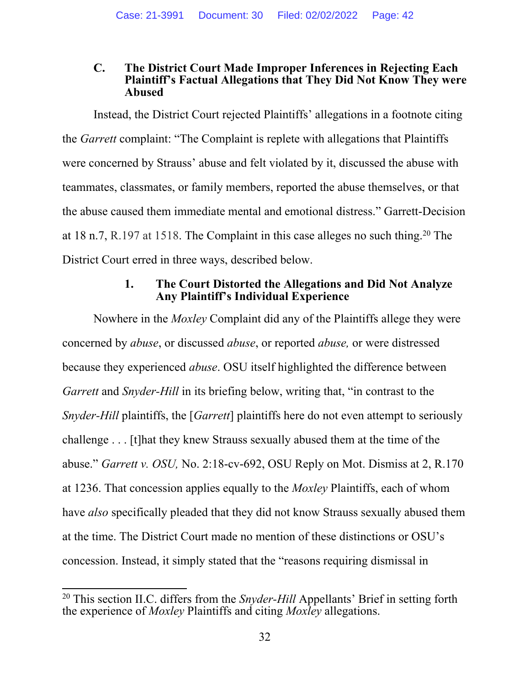#### **C. The District Court Made Improper Inferences in Rejecting Each Plaintiff's Factual Allegations that They Did Not Know They were Abused**

Instead, the District Court rejected Plaintiffs' allegations in a footnote citing the *Garrett* complaint: "The Complaint is replete with allegations that Plaintiffs were concerned by Strauss' abuse and felt violated by it, discussed the abuse with teammates, classmates, or family members, reported the abuse themselves, or that the abuse caused them immediate mental and emotional distress." Garrett-Decision at 18 n.7, R.197 at 1518. The Complaint in this case alleges no such thing.20 The District Court erred in three ways, described below.

# **1. The Court Distorted the Allegations and Did Not Analyze Any Plaintiff's Individual Experience**

Nowhere in the *Moxley* Complaint did any of the Plaintiffs allege they were concerned by *abuse*, or discussed *abuse*, or reported *abuse,* or were distressed because they experienced *abuse*. OSU itself highlighted the difference between *Garrett* and *Snyder-Hill* in its briefing below, writing that, "in contrast to the *Snyder-Hill* plaintiffs, the [*Garrett*] plaintiffs here do not even attempt to seriously challenge . . . [t]hat they knew Strauss sexually abused them at the time of the abuse." *Garrett v. OSU,* No. 2:18-cv-692, OSU Reply on Mot. Dismiss at 2, R.170 at 1236. That concession applies equally to the *Moxley* Plaintiffs, each of whom have *also* specifically pleaded that they did not know Strauss sexually abused them at the time. The District Court made no mention of these distinctions or OSU's concession. Instead, it simply stated that the "reasons requiring dismissal in

<sup>20</sup> This section II.C. differs from the *Snyder-Hill* Appellants' Brief in setting forth the experience of *Moxley* Plaintiffs and citing *Moxley* allegations.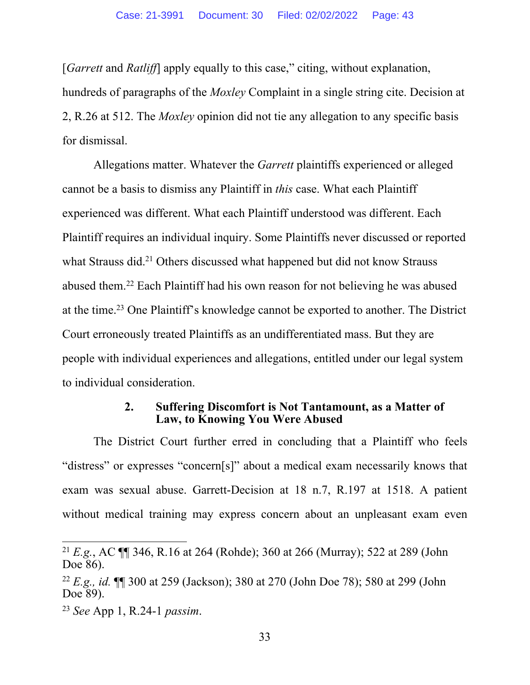[*Garrett* and *Ratliff*] apply equally to this case," citing, without explanation, hundreds of paragraphs of the *Moxley* Complaint in a single string cite. Decision at 2, R.26 at 512. The *Moxley* opinion did not tie any allegation to any specific basis for dismissal.

Allegations matter. Whatever the *Garrett* plaintiffs experienced or alleged cannot be a basis to dismiss any Plaintiff in *this* case. What each Plaintiff experienced was different. What each Plaintiff understood was different. Each Plaintiff requires an individual inquiry. Some Plaintiffs never discussed or reported what Strauss did.<sup>21</sup> Others discussed what happened but did not know Strauss abused them.22 Each Plaintiff had his own reason for not believing he was abused at the time.23 One Plaintiff's knowledge cannot be exported to another. The District Court erroneously treated Plaintiffs as an undifferentiated mass. But they are people with individual experiences and allegations, entitled under our legal system to individual consideration.

#### **2. Suffering Discomfort is Not Tantamount, as a Matter of Law, to Knowing You Were Abused**

The District Court further erred in concluding that a Plaintiff who feels "distress" or expresses "concern[s]" about a medical exam necessarily knows that exam was sexual abuse. Garrett-Decision at 18 n.7, R.197 at 1518. A patient without medical training may express concern about an unpleasant exam even

<sup>21</sup> *E.g.*, AC ¶¶ 346, R.16 at 264 (Rohde); 360 at 266 (Murray); 522 at 289 (John Doe 86).

<sup>22</sup> *E.g., id.* ¶¶ 300 at 259 (Jackson); 380 at 270 (John Doe 78); 580 at 299 (John Doe 89).

<sup>23</sup> *See* App 1, R.24-1 *passim*.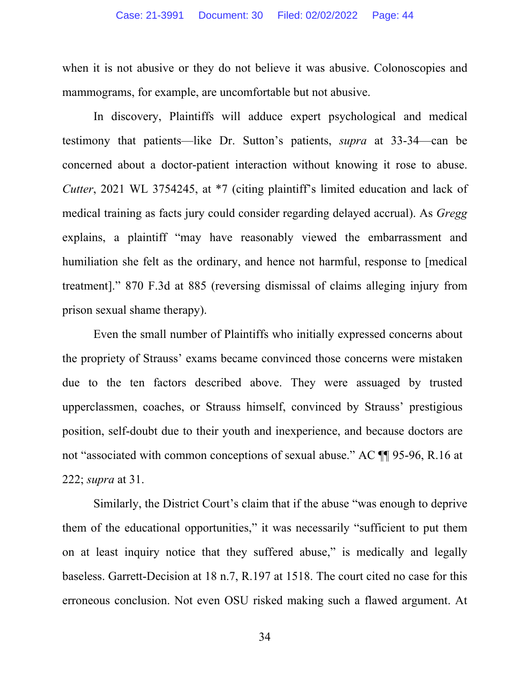when it is not abusive or they do not believe it was abusive. Colonoscopies and mammograms, for example, are uncomfortable but not abusive.

In discovery, Plaintiffs will adduce expert psychological and medical testimony that patients—like Dr. Sutton's patients, *supra* at 33-34—can be concerned about a doctor-patient interaction without knowing it rose to abuse. *Cutter*, 2021 WL 3754245, at \*7 (citing plaintiff's limited education and lack of medical training as facts jury could consider regarding delayed accrual). As *Gregg*  explains, a plaintiff "may have reasonably viewed the embarrassment and humiliation she felt as the ordinary, and hence not harmful, response to [medical treatment]." 870 F.3d at 885 (reversing dismissal of claims alleging injury from prison sexual shame therapy).

Even the small number of Plaintiffs who initially expressed concerns about the propriety of Strauss' exams became convinced those concerns were mistaken due to the ten factors described above. They were assuaged by trusted upperclassmen, coaches, or Strauss himself, convinced by Strauss' prestigious position, self-doubt due to their youth and inexperience, and because doctors are not "associated with common conceptions of sexual abuse." AC ¶¶ 95-96, R.16 at 222; *supra* at 31.

Similarly, the District Court's claim that if the abuse "was enough to deprive them of the educational opportunities," it was necessarily "sufficient to put them on at least inquiry notice that they suffered abuse," is medically and legally baseless. Garrett-Decision at 18 n.7, R.197 at 1518. The court cited no case for this erroneous conclusion. Not even OSU risked making such a flawed argument. At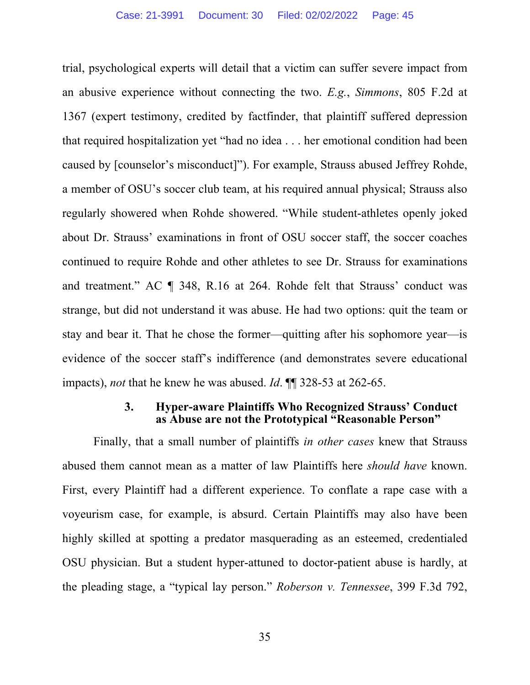trial, psychological experts will detail that a victim can suffer severe impact from an abusive experience without connecting the two. *E.g.*, *Simmons*, 805 F.2d at 1367 (expert testimony, credited by factfinder, that plaintiff suffered depression that required hospitalization yet "had no idea . . . her emotional condition had been caused by [counselor's misconduct]"). For example, Strauss abused Jeffrey Rohde, a member of OSU's soccer club team, at his required annual physical; Strauss also regularly showered when Rohde showered. "While student-athletes openly joked about Dr. Strauss' examinations in front of OSU soccer staff, the soccer coaches continued to require Rohde and other athletes to see Dr. Strauss for examinations and treatment." AC ¶ 348, R.16 at 264. Rohde felt that Strauss' conduct was strange, but did not understand it was abuse. He had two options: quit the team or stay and bear it. That he chose the former—quitting after his sophomore year—is evidence of the soccer staff's indifference (and demonstrates severe educational impacts), *not* that he knew he was abused. *Id*. ¶¶ 328-53 at 262-65.

#### **3. Hyper-aware Plaintiffs Who Recognized Strauss' Conduct as Abuse are not the Prototypical "Reasonable Person"**

Finally, that a small number of plaintiffs *in other cases* knew that Strauss abused them cannot mean as a matter of law Plaintiffs here *should have* known. First, every Plaintiff had a different experience. To conflate a rape case with a voyeurism case, for example, is absurd. Certain Plaintiffs may also have been highly skilled at spotting a predator masquerading as an esteemed, credentialed OSU physician. But a student hyper-attuned to doctor-patient abuse is hardly, at the pleading stage, a "typical lay person." *Roberson v. Tennessee*, 399 F.3d 792,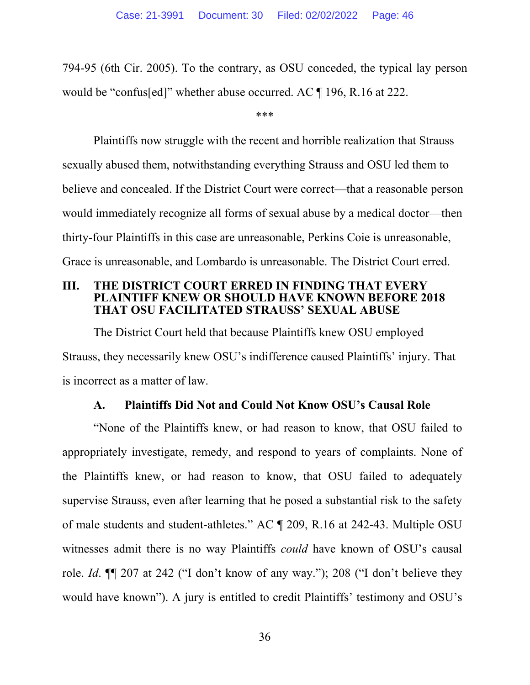794-95 (6th Cir. 2005). To the contrary, as OSU conceded, the typical lay person would be "confus[ed]" whether abuse occurred. AC ¶ 196, R.16 at 222.

\*\*\*

Plaintiffs now struggle with the recent and horrible realization that Strauss sexually abused them, notwithstanding everything Strauss and OSU led them to believe and concealed. If the District Court were correct—that a reasonable person would immediately recognize all forms of sexual abuse by a medical doctor—then thirty-four Plaintiffs in this case are unreasonable, Perkins Coie is unreasonable, Grace is unreasonable, and Lombardo is unreasonable. The District Court erred.

#### **III. THE DISTRICT COURT ERRED IN FINDING THAT EVERY PLAINTIFF KNEW OR SHOULD HAVE KNOWN BEFORE 2018 THAT OSU FACILITATED STRAUSS' SEXUAL ABUSE**

The District Court held that because Plaintiffs knew OSU employed Strauss, they necessarily knew OSU's indifference caused Plaintiffs' injury. That is incorrect as a matter of law.

# **A. Plaintiffs Did Not and Could Not Know OSU's Causal Role**

"None of the Plaintiffs knew, or had reason to know, that OSU failed to appropriately investigate, remedy, and respond to years of complaints. None of the Plaintiffs knew, or had reason to know, that OSU failed to adequately supervise Strauss, even after learning that he posed a substantial risk to the safety of male students and student-athletes." AC ¶ 209, R.16 at 242-43. Multiple OSU witnesses admit there is no way Plaintiffs *could* have known of OSU's causal role. *Id*. ¶¶ 207 at 242 ("I don't know of any way."); 208 ("I don't believe they would have known"). A jury is entitled to credit Plaintiffs' testimony and OSU's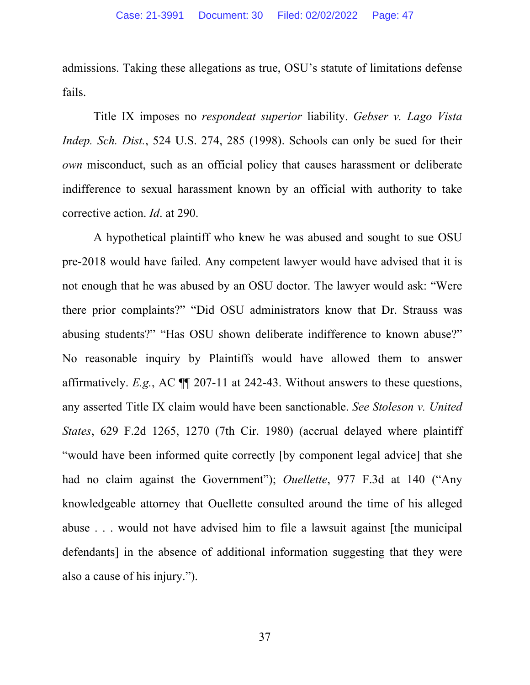admissions. Taking these allegations as true, OSU's statute of limitations defense fails.

Title IX imposes no *respondeat superior* liability. *Gebser v. Lago Vista Indep. Sch. Dist.*, 524 U.S. 274, 285 (1998). Schools can only be sued for their *own* misconduct, such as an official policy that causes harassment or deliberate indifference to sexual harassment known by an official with authority to take corrective action. *Id*. at 290.

A hypothetical plaintiff who knew he was abused and sought to sue OSU pre-2018 would have failed. Any competent lawyer would have advised that it is not enough that he was abused by an OSU doctor. The lawyer would ask: "Were there prior complaints?" "Did OSU administrators know that Dr. Strauss was abusing students?" "Has OSU shown deliberate indifference to known abuse?" No reasonable inquiry by Plaintiffs would have allowed them to answer affirmatively. *E.g.*, AC ¶¶ 207-11 at 242-43. Without answers to these questions, any asserted Title IX claim would have been sanctionable. *See Stoleson v. United States*, 629 F.2d 1265, 1270 (7th Cir. 1980) (accrual delayed where plaintiff "would have been informed quite correctly [by component legal advice] that she had no claim against the Government"); *Ouellette*, 977 F.3d at 140 ("Any knowledgeable attorney that Ouellette consulted around the time of his alleged abuse . . . would not have advised him to file a lawsuit against [the municipal defendants] in the absence of additional information suggesting that they were also a cause of his injury.").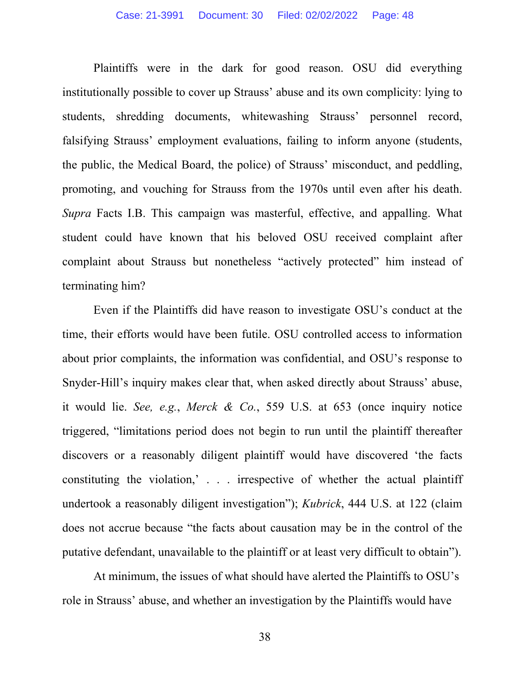Plaintiffs were in the dark for good reason. OSU did everything institutionally possible to cover up Strauss' abuse and its own complicity: lying to students, shredding documents, whitewashing Strauss' personnel record, falsifying Strauss' employment evaluations, failing to inform anyone (students, the public, the Medical Board, the police) of Strauss' misconduct, and peddling, promoting, and vouching for Strauss from the 1970s until even after his death. *Supra* Facts I.B. This campaign was masterful, effective, and appalling. What student could have known that his beloved OSU received complaint after complaint about Strauss but nonetheless "actively protected" him instead of terminating him?

Even if the Plaintiffs did have reason to investigate OSU's conduct at the time, their efforts would have been futile. OSU controlled access to information about prior complaints, the information was confidential, and OSU's response to Snyder-Hill's inquiry makes clear that, when asked directly about Strauss' abuse, it would lie. *See, e.g.*, *Merck & Co.*, 559 U.S. at 653 (once inquiry notice triggered, "limitations period does not begin to run until the plaintiff thereafter discovers or a reasonably diligent plaintiff would have discovered 'the facts constituting the violation,' . . . irrespective of whether the actual plaintiff undertook a reasonably diligent investigation"); *Kubrick*, 444 U.S. at 122 (claim does not accrue because "the facts about causation may be in the control of the putative defendant, unavailable to the plaintiff or at least very difficult to obtain").

At minimum, the issues of what should have alerted the Plaintiffs to OSU's role in Strauss' abuse, and whether an investigation by the Plaintiffs would have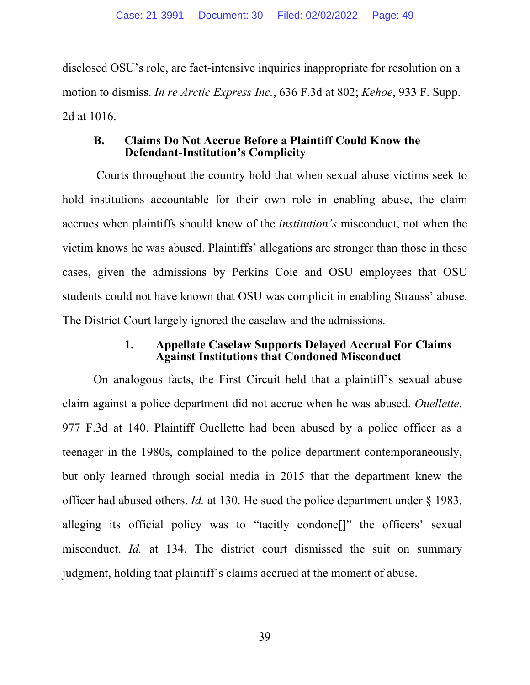disclosed OSU's role, are fact-intensive inquiries inappropriate for resolution on a motion to dismiss. *In re Arctic Express Inc.*, 636 F.3d at 802; *Kehoe*, 933 F. Supp. 2d at 1016.

#### **B. Claims Do Not Accrue Before a Plaintiff Could Know the Defendant-Institution's Complicity**

 Courts throughout the country hold that when sexual abuse victims seek to hold institutions accountable for their own role in enabling abuse, the claim accrues when plaintiffs should know of the *institution's* misconduct, not when the victim knows he was abused. Plaintiffs' allegations are stronger than those in these cases, given the admissions by Perkins Coie and OSU employees that OSU students could not have known that OSU was complicit in enabling Strauss' abuse. The District Court largely ignored the caselaw and the admissions.

## **1. Appellate Caselaw Supports Delayed Accrual For Claims Against Institutions that Condoned Misconduct**

On analogous facts, the First Circuit held that a plaintiff's sexual abuse claim against a police department did not accrue when he was abused. *Ouellette*, 977 F.3d at 140. Plaintiff Ouellette had been abused by a police officer as a teenager in the 1980s, complained to the police department contemporaneously, but only learned through social media in 2015 that the department knew the officer had abused others. *Id.* at 130. He sued the police department under § 1983, alleging its official policy was to "tacitly condone<sup>[]"</sup> the officers' sexual misconduct. *Id.* at 134. The district court dismissed the suit on summary judgment, holding that plaintiff's claims accrued at the moment of abuse.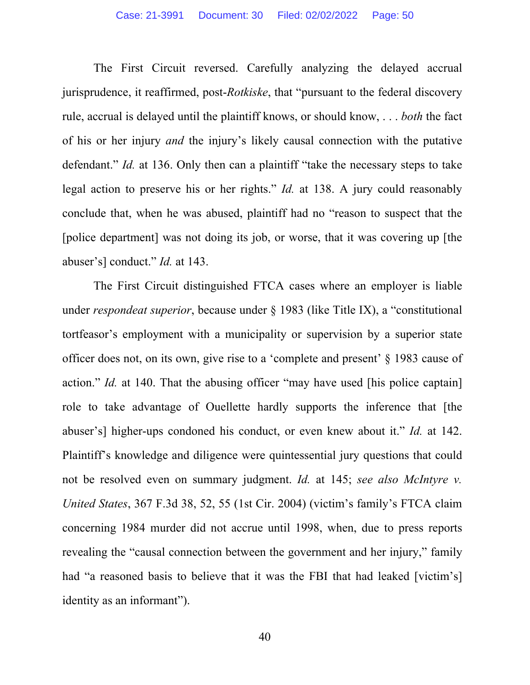The First Circuit reversed. Carefully analyzing the delayed accrual jurisprudence, it reaffirmed, post-*Rotkiske*, that "pursuant to the federal discovery rule, accrual is delayed until the plaintiff knows, or should know, . . . *both* the fact of his or her injury *and* the injury's likely causal connection with the putative defendant." *Id.* at 136. Only then can a plaintiff "take the necessary steps to take legal action to preserve his or her rights." *Id.* at 138. A jury could reasonably conclude that, when he was abused, plaintiff had no "reason to suspect that the [police department] was not doing its job, or worse, that it was covering up [the abuser's] conduct." *Id.* at 143.

The First Circuit distinguished FTCA cases where an employer is liable under *respondeat superior*, because under § 1983 (like Title IX), a "constitutional tortfeasor's employment with a municipality or supervision by a superior state officer does not, on its own, give rise to a 'complete and present' § 1983 cause of action." *Id.* at 140. That the abusing officer "may have used [his police captain] role to take advantage of Ouellette hardly supports the inference that [the abuser's] higher-ups condoned his conduct, or even knew about it." *Id.* at 142. Plaintiff's knowledge and diligence were quintessential jury questions that could not be resolved even on summary judgment. *Id.* at 145; *see also McIntyre v. United States*, 367 F.3d 38, 52, 55 (1st Cir. 2004) (victim's family's FTCA claim concerning 1984 murder did not accrue until 1998, when, due to press reports revealing the "causal connection between the government and her injury," family had "a reasoned basis to believe that it was the FBI that had leaked [victim's] identity as an informant").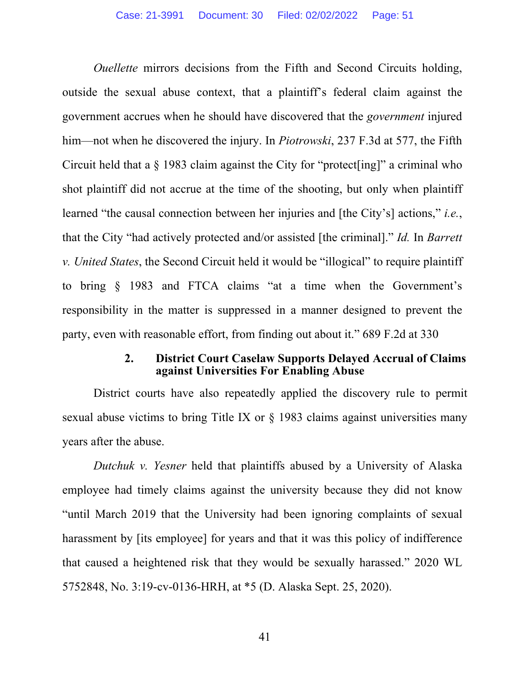*Ouellette* mirrors decisions from the Fifth and Second Circuits holding, outside the sexual abuse context, that a plaintiff's federal claim against the government accrues when he should have discovered that the *government* injured him—not when he discovered the injury. In *Piotrowski*, 237 F.3d at 577, the Fifth Circuit held that a § 1983 claim against the City for "protect[ing]" a criminal who shot plaintiff did not accrue at the time of the shooting, but only when plaintiff learned "the causal connection between her injuries and [the City's] actions," *i.e.*, that the City "had actively protected and/or assisted [the criminal]." *Id.* In *Barrett v. United States*, the Second Circuit held it would be "illogical" to require plaintiff to bring § 1983 and FTCA claims "at a time when the Government's responsibility in the matter is suppressed in a manner designed to prevent the party, even with reasonable effort, from finding out about it." 689 F.2d at 330

#### **2. District Court Caselaw Supports Delayed Accrual of Claims against Universities For Enabling Abuse**

District courts have also repeatedly applied the discovery rule to permit sexual abuse victims to bring Title IX or  $\S$  1983 claims against universities many years after the abuse.

*Dutchuk v. Yesner* held that plaintiffs abused by a University of Alaska employee had timely claims against the university because they did not know "until March 2019 that the University had been ignoring complaints of sexual harassment by [its employee] for years and that it was this policy of indifference that caused a heightened risk that they would be sexually harassed." 2020 WL 5752848, No. 3:19-cv-0136-HRH, at \*5 (D. Alaska Sept. 25, 2020).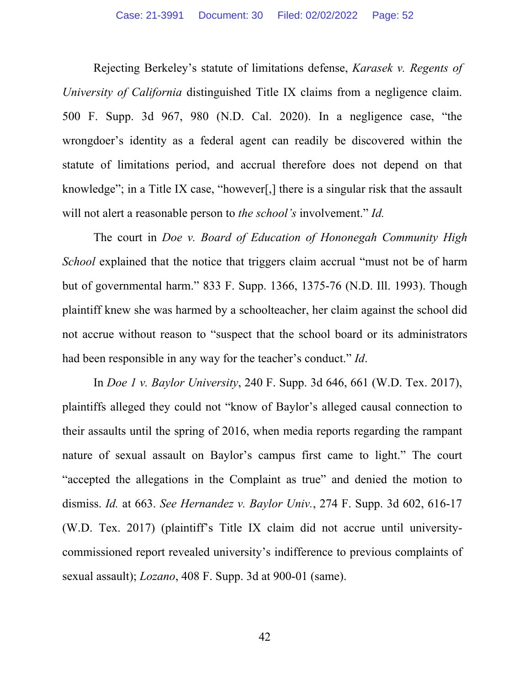Rejecting Berkeley's statute of limitations defense, *Karasek v. Regents of University of California* distinguished Title IX claims from a negligence claim. 500 F. Supp. 3d 967, 980 (N.D. Cal. 2020). In a negligence case, "the wrongdoer's identity as a federal agent can readily be discovered within the statute of limitations period, and accrual therefore does not depend on that knowledge"; in a Title IX case, "however[,] there is a singular risk that the assault will not alert a reasonable person to *the school's* involvement." *Id.*

The court in *Doe v. Board of Education of Hononegah Community High School* explained that the notice that triggers claim accrual "must not be of harm but of governmental harm." 833 F. Supp. 1366, 1375-76 (N.D. Ill. 1993). Though plaintiff knew she was harmed by a schoolteacher, her claim against the school did not accrue without reason to "suspect that the school board or its administrators had been responsible in any way for the teacher's conduct." *Id*.

In *Doe 1 v. Baylor University*, 240 F. Supp. 3d 646, 661 (W.D. Tex. 2017), plaintiffs alleged they could not "know of Baylor's alleged causal connection to their assaults until the spring of 2016, when media reports regarding the rampant nature of sexual assault on Baylor's campus first came to light." The court "accepted the allegations in the Complaint as true" and denied the motion to dismiss. *Id.* at 663. *See Hernandez v. Baylor Univ.*, 274 F. Supp. 3d 602, 616-17 (W.D. Tex. 2017) (plaintiff's Title IX claim did not accrue until universitycommissioned report revealed university's indifference to previous complaints of sexual assault); *Lozano*, 408 F. Supp. 3d at 900-01 (same).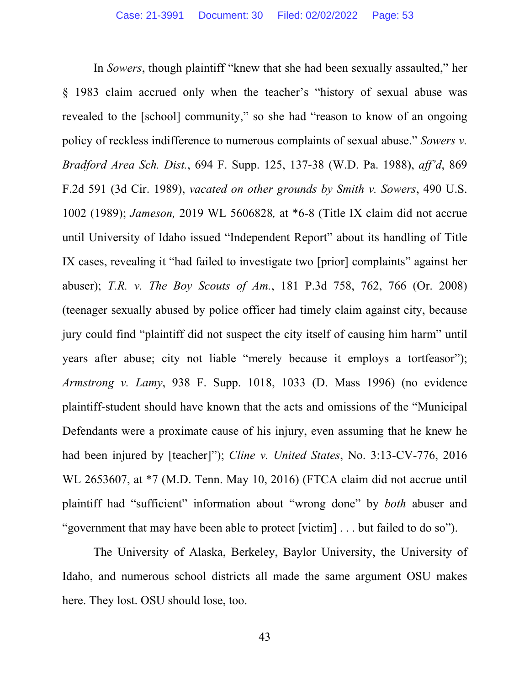In *Sowers*, though plaintiff "knew that she had been sexually assaulted," her § 1983 claim accrued only when the teacher's "history of sexual abuse was revealed to the [school] community," so she had "reason to know of an ongoing policy of reckless indifference to numerous complaints of sexual abuse." *Sowers v. Bradford Area Sch. Dist.*, 694 F. Supp. 125, 137-38 (W.D. Pa. 1988), *aff'd*, 869 F.2d 591 (3d Cir. 1989), *vacated on other grounds by Smith v. Sowers*, 490 U.S. 1002 (1989); *Jameson,* 2019 WL 5606828*,* at \*6-8 (Title IX claim did not accrue until University of Idaho issued "Independent Report" about its handling of Title IX cases, revealing it "had failed to investigate two [prior] complaints" against her abuser); *T.R. v. The Boy Scouts of Am.*, 181 P.3d 758, 762, 766 (Or. 2008) (teenager sexually abused by police officer had timely claim against city, because jury could find "plaintiff did not suspect the city itself of causing him harm" until years after abuse; city not liable "merely because it employs a tortfeasor"); *Armstrong v. Lamy*, 938 F. Supp. 1018, 1033 (D. Mass 1996) (no evidence plaintiff-student should have known that the acts and omissions of the "Municipal Defendants were a proximate cause of his injury, even assuming that he knew he had been injured by [teacher]"); *Cline v. United States*, No. 3:13-CV-776, 2016 WL 2653607, at \*7 (M.D. Tenn. May 10, 2016) (FTCA claim did not accrue until plaintiff had "sufficient" information about "wrong done" by *both* abuser and "government that may have been able to protect [victim] . . . but failed to do so").

The University of Alaska, Berkeley, Baylor University, the University of Idaho, and numerous school districts all made the same argument OSU makes here. They lost. OSU should lose, too.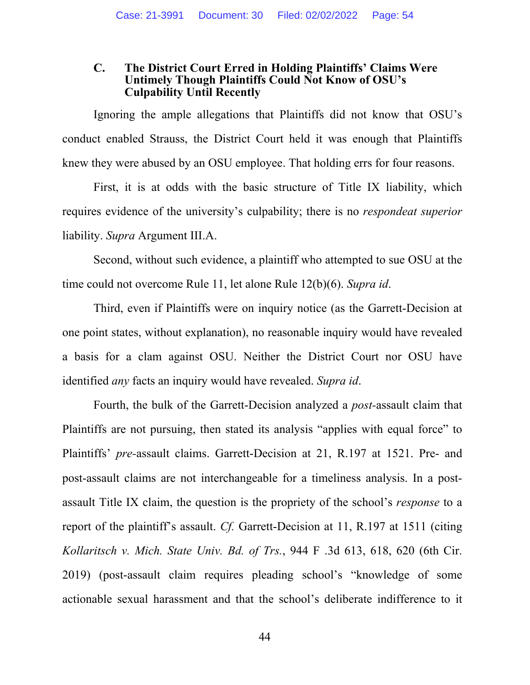#### **C. The District Court Erred in Holding Plaintiffs' Claims Were Untimely Though Plaintiffs Could Not Know of OSU's Culpability Until Recently**

Ignoring the ample allegations that Plaintiffs did not know that OSU's conduct enabled Strauss, the District Court held it was enough that Plaintiffs knew they were abused by an OSU employee. That holding errs for four reasons.

First, it is at odds with the basic structure of Title IX liability, which requires evidence of the university's culpability; there is no *respondeat superior* liability. *Supra* Argument III.A.

Second, without such evidence, a plaintiff who attempted to sue OSU at the time could not overcome Rule 11, let alone Rule 12(b)(6). *Supra id*.

Third, even if Plaintiffs were on inquiry notice (as the Garrett-Decision at one point states, without explanation), no reasonable inquiry would have revealed a basis for a clam against OSU. Neither the District Court nor OSU have identified *any* facts an inquiry would have revealed. *Supra id*.

Fourth, the bulk of the Garrett-Decision analyzed a *post-*assault claim that Plaintiffs are not pursuing, then stated its analysis "applies with equal force" to Plaintiffs' *pre-*assault claims. Garrett-Decision at 21, R.197 at 1521. Pre- and post-assault claims are not interchangeable for a timeliness analysis. In a postassault Title IX claim, the question is the propriety of the school's *response* to a report of the plaintiff's assault. *Cf.* Garrett-Decision at 11, R.197 at 1511 (citing *Kollaritsch v. Mich. State Univ. Bd. of Trs.*, 944 F .3d 613, 618, 620 (6th Cir. 2019) (post-assault claim requires pleading school's "knowledge of some actionable sexual harassment and that the school's deliberate indifference to it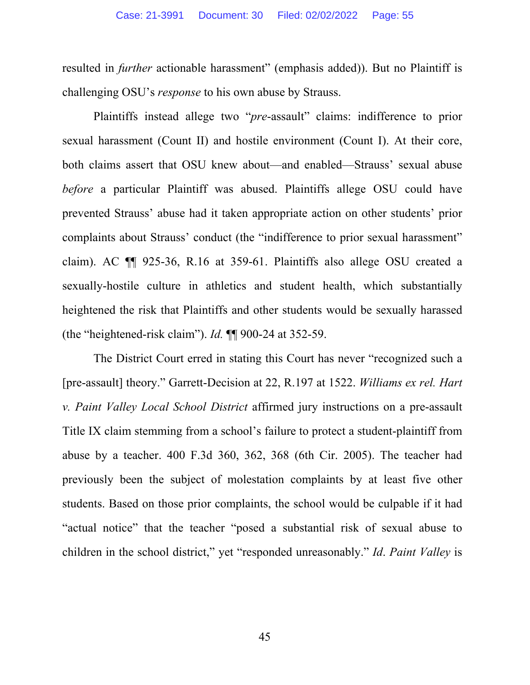resulted in *further* actionable harassment" (emphasis added)). But no Plaintiff is challenging OSU's *response* to his own abuse by Strauss.

Plaintiffs instead allege two "*pre*-assault" claims: indifference to prior sexual harassment (Count II) and hostile environment (Count I). At their core, both claims assert that OSU knew about—and enabled—Strauss' sexual abuse *before* a particular Plaintiff was abused. Plaintiffs allege OSU could have prevented Strauss' abuse had it taken appropriate action on other students' prior complaints about Strauss' conduct (the "indifference to prior sexual harassment" claim). AC ¶¶ 925-36, R.16 at 359-61. Plaintiffs also allege OSU created a sexually-hostile culture in athletics and student health, which substantially heightened the risk that Plaintiffs and other students would be sexually harassed (the "heightened-risk claim"). *Id.* ¶¶ 900-24 at 352-59.

The District Court erred in stating this Court has never "recognized such a [pre-assault] theory." Garrett-Decision at 22, R.197 at 1522. *Williams ex rel. Hart v. Paint Valley Local School District* affirmed jury instructions on a pre-assault Title IX claim stemming from a school's failure to protect a student-plaintiff from abuse by a teacher. 400 F.3d 360, 362, 368 (6th Cir. 2005). The teacher had previously been the subject of molestation complaints by at least five other students. Based on those prior complaints, the school would be culpable if it had "actual notice" that the teacher "posed a substantial risk of sexual abuse to children in the school district," yet "responded unreasonably." *Id*. *Paint Valley* is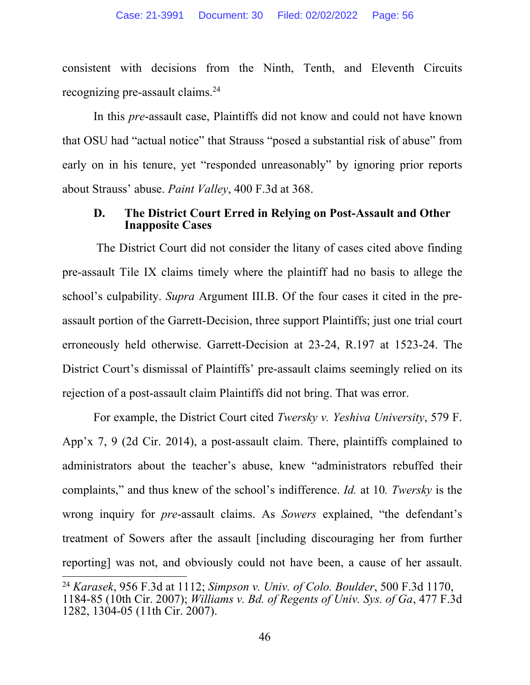consistent with decisions from the Ninth, Tenth, and Eleventh Circuits recognizing pre-assault claims.24

In this *pre*-assault case, Plaintiffs did not know and could not have known that OSU had "actual notice" that Strauss "posed a substantial risk of abuse" from early on in his tenure, yet "responded unreasonably" by ignoring prior reports about Strauss' abuse. *Paint Valley*, 400 F.3d at 368.

#### **D. The District Court Erred in Relying on Post-Assault and Other Inapposite Cases**

 The District Court did not consider the litany of cases cited above finding pre-assault Tile IX claims timely where the plaintiff had no basis to allege the school's culpability. *Supra* Argument III.B. Of the four cases it cited in the preassault portion of the Garrett-Decision, three support Plaintiffs; just one trial court erroneously held otherwise. Garrett-Decision at 23-24, R.197 at 1523-24. The District Court's dismissal of Plaintiffs' pre-assault claims seemingly relied on its rejection of a post-assault claim Plaintiffs did not bring. That was error.

For example, the District Court cited *Twersky v. Yeshiva University*, 579 F. App'x 7, 9 (2d Cir. 2014), a post-assault claim. There, plaintiffs complained to administrators about the teacher's abuse, knew "administrators rebuffed their complaints," and thus knew of the school's indifference. *Id.* at 10*. Twersky* is the wrong inquiry for *pre*-assault claims. As *Sowers* explained, "the defendant's treatment of Sowers after the assault [including discouraging her from further reporting] was not, and obviously could not have been, a cause of her assault.

<sup>24</sup> *Karasek*, 956 F.3d at 1112; *Simpson v. Univ. of Colo. Boulder*, 500 F.3d 1170, 1184-85 (10th Cir. 2007); *Williams v. Bd. of Regents of Univ. Sys. of Ga*, 477 F.3d 1282, 1304-05 (11th Cir. 2007).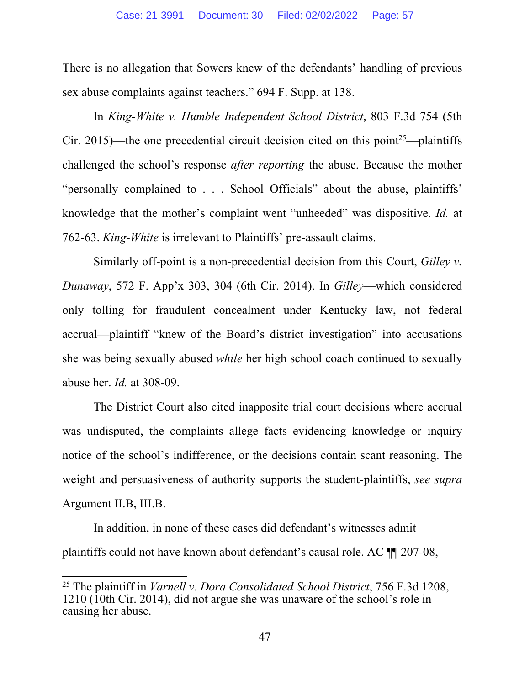There is no allegation that Sowers knew of the defendants' handling of previous sex abuse complaints against teachers." 694 F. Supp. at 138.

In *King-White v. Humble Independent School District*, 803 F.3d 754 (5th Cir. 2015)—the one precedential circuit decision cited on this point<sup>25</sup>—plaintiffs challenged the school's response *after reporting* the abuse. Because the mother "personally complained to . . . School Officials" about the abuse, plaintiffs' knowledge that the mother's complaint went "unheeded" was dispositive. *Id.* at 762-63. *King-White* is irrelevant to Plaintiffs' pre-assault claims.

Similarly off-point is a non-precedential decision from this Court, *Gilley v. Dunaway*, 572 F. App'x 303, 304 (6th Cir. 2014). In *Gilley*—which considered only tolling for fraudulent concealment under Kentucky law, not federal accrual—plaintiff "knew of the Board's district investigation" into accusations she was being sexually abused *while* her high school coach continued to sexually abuse her. *Id.* at 308-09.

The District Court also cited inapposite trial court decisions where accrual was undisputed, the complaints allege facts evidencing knowledge or inquiry notice of the school's indifference, or the decisions contain scant reasoning. The weight and persuasiveness of authority supports the student-plaintiffs, *see supra*  Argument II.B, III.B.

In addition, in none of these cases did defendant's witnesses admit plaintiffs could not have known about defendant's causal role. AC ¶¶ 207-08,

<sup>25</sup> The plaintiff in *Varnell v. Dora Consolidated School District*, 756 F.3d 1208,  $1210$  (10th Cir. 2014), did not argue she was unaware of the school's role in causing her abuse.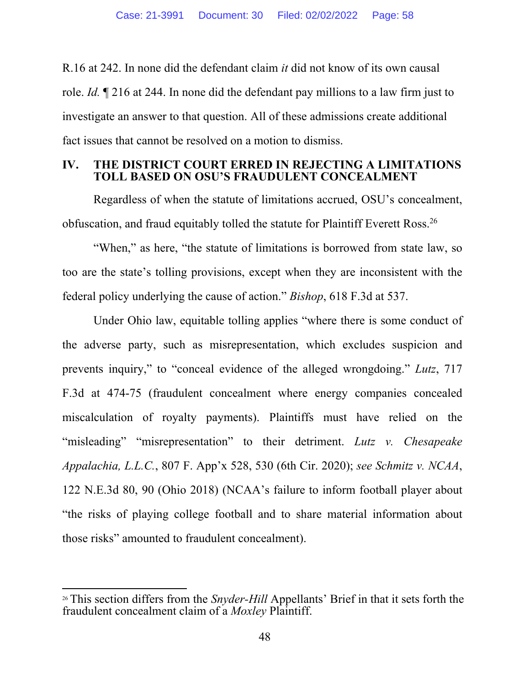R.16 at 242. In none did the defendant claim *it* did not know of its own causal role. *Id.* ¶ 216 at 244. In none did the defendant pay millions to a law firm just to investigate an answer to that question. All of these admissions create additional fact issues that cannot be resolved on a motion to dismiss.

# **IV. THE DISTRICT COURT ERRED IN REJECTING A LIMITATIONS TOLL BASED ON OSU'S FRAUDULENT CONCEALMENT**

Regardless of when the statute of limitations accrued, OSU's concealment, obfuscation, and fraud equitably tolled the statute for Plaintiff Everett Ross.26

"When," as here, "the statute of limitations is borrowed from state law, so too are the state's tolling provisions, except when they are inconsistent with the federal policy underlying the cause of action." *Bishop*, 618 F.3d at 537.

Under Ohio law, equitable tolling applies "where there is some conduct of the adverse party, such as misrepresentation, which excludes suspicion and prevents inquiry," to "conceal evidence of the alleged wrongdoing." *Lutz*, 717 F.3d at 474-75 (fraudulent concealment where energy companies concealed miscalculation of royalty payments). Plaintiffs must have relied on the "misleading" "misrepresentation" to their detriment. *Lutz v. Chesapeake Appalachia, L.L.C.*, 807 F. App'x 528, 530 (6th Cir. 2020); *see Schmitz v. NCAA*, 122 N.E.3d 80, 90 (Ohio 2018) (NCAA's failure to inform football player about "the risks of playing college football and to share material information about those risks" amounted to fraudulent concealment).

<sup>26</sup> This section differs from the *Snyder-Hill* Appellants' Brief in that it sets forth the fraudulent concealment claim of a *Moxley* Plaintiff.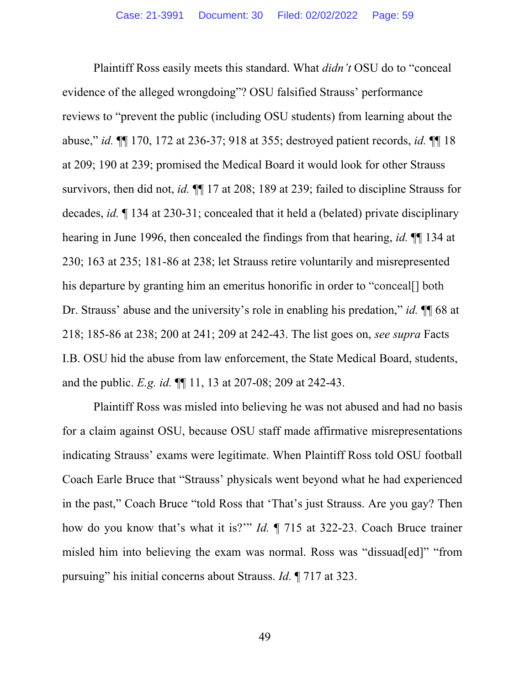Plaintiff Ross easily meets this standard. What *didn't* OSU do to "conceal evidence of the alleged wrongdoing"? OSU falsified Strauss' performance reviews to "prevent the public (including OSU students) from learning about the abuse," *id.* ¶¶ 170, 172 at 236-37; 918 at 355; destroyed patient records, *id.* ¶¶ 18 at 209; 190 at 239; promised the Medical Board it would look for other Strauss survivors, then did not, *id.* ¶¶ 17 at 208; 189 at 239; failed to discipline Strauss for decades, *id.* ¶ 134 at 230-31; concealed that it held a (belated) private disciplinary hearing in June 1996, then concealed the findings from that hearing, *id.* ¶¶ 134 at 230; 163 at 235; 181-86 at 238; let Strauss retire voluntarily and misrepresented his departure by granting him an emeritus honorific in order to "conceal. both Dr. Strauss' abuse and the university's role in enabling his predation," *id.* ¶¶ 68 at 218; 185-86 at 238; 200 at 241; 209 at 242-43. The list goes on, *see supra* Facts I.B. OSU hid the abuse from law enforcement, the State Medical Board, students, and the public. *E.g. id.* ¶¶ 11, 13 at 207-08; 209 at 242-43.

Plaintiff Ross was misled into believing he was not abused and had no basis for a claim against OSU, because OSU staff made affirmative misrepresentations indicating Strauss' exams were legitimate. When Plaintiff Ross told OSU football Coach Earle Bruce that "Strauss' physicals went beyond what he had experienced in the past," Coach Bruce "told Ross that 'That's just Strauss. Are you gay? Then how do you know that's what it is?'" *Id.* ¶ 715 at 322-23. Coach Bruce trainer misled him into believing the exam was normal. Ross was "dissuad[ed]" "from pursuing" his initial concerns about Strauss. *Id.* ¶ 717 at 323.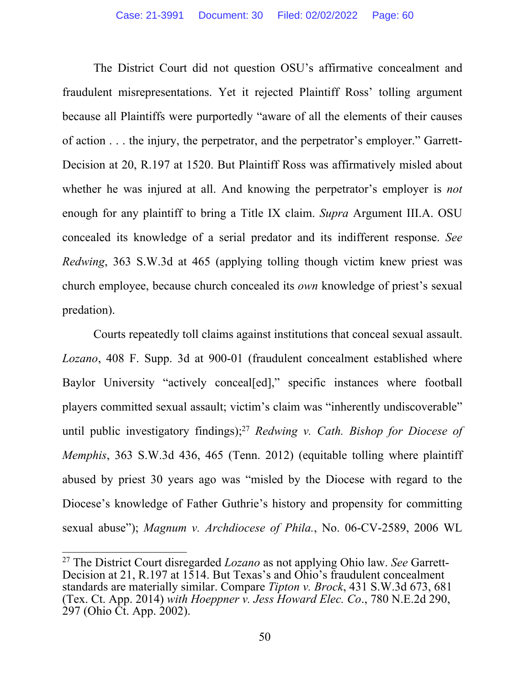The District Court did not question OSU's affirmative concealment and fraudulent misrepresentations. Yet it rejected Plaintiff Ross' tolling argument because all Plaintiffs were purportedly "aware of all the elements of their causes of action . . . the injury, the perpetrator, and the perpetrator's employer." Garrett-Decision at 20, R.197 at 1520. But Plaintiff Ross was affirmatively misled about whether he was injured at all. And knowing the perpetrator's employer is *not*  enough for any plaintiff to bring a Title IX claim. *Supra* Argument III.A. OSU concealed its knowledge of a serial predator and its indifferent response. *See Redwing*, 363 S.W.3d at 465 (applying tolling though victim knew priest was church employee, because church concealed its *own* knowledge of priest's sexual predation).

Courts repeatedly toll claims against institutions that conceal sexual assault. *Lozano*, 408 F. Supp. 3d at 900-01 (fraudulent concealment established where Baylor University "actively conceal[ed]," specific instances where football players committed sexual assault; victim's claim was "inherently undiscoverable" until public investigatory findings);<sup>27</sup> *Redwing v. Cath. Bishop for Diocese of Memphis*, 363 S.W.3d 436, 465 (Tenn. 2012) (equitable tolling where plaintiff abused by priest 30 years ago was "misled by the Diocese with regard to the Diocese's knowledge of Father Guthrie's history and propensity for committing sexual abuse"); *Magnum v. Archdiocese of Phila.*, No. 06-CV-2589, 2006 WL

<sup>27</sup> The District Court disregarded *Lozano* as not applying Ohio law. *See* Garrett-Decision at 21, R.197 at 1514. But Texas's and Ohio's fraudulent concealment standards are materially similar. Compare *Tipton v. Brock*, 431 S.W.3d 673, 681 (Tex. Ct. App. 2014) *with Hoeppner v. Jess Howard Elec. Co*., 780 N.E.2d 290, 297 (Ohio Ct. App. 2002).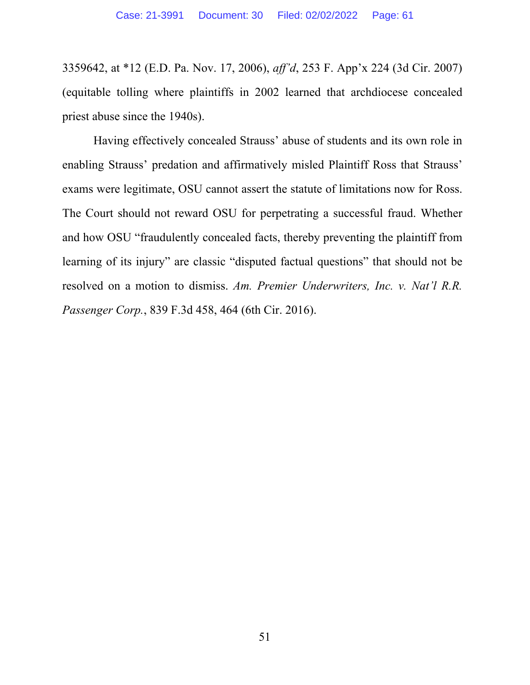3359642, at \*12 (E.D. Pa. Nov. 17, 2006), *aff'd*, 253 F. App'x 224 (3d Cir. 2007) (equitable tolling where plaintiffs in 2002 learned that archdiocese concealed priest abuse since the 1940s).

Having effectively concealed Strauss' abuse of students and its own role in enabling Strauss' predation and affirmatively misled Plaintiff Ross that Strauss' exams were legitimate, OSU cannot assert the statute of limitations now for Ross. The Court should not reward OSU for perpetrating a successful fraud. Whether and how OSU "fraudulently concealed facts, thereby preventing the plaintiff from learning of its injury" are classic "disputed factual questions" that should not be resolved on a motion to dismiss. *Am. Premier Underwriters, Inc. v. Nat'l R.R. Passenger Corp.*, 839 F.3d 458, 464 (6th Cir. 2016).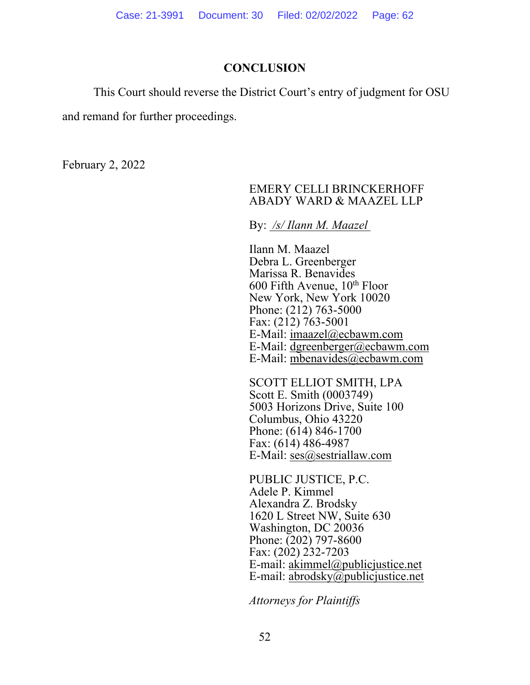## **CONCLUSION**

This Court should reverse the District Court's entry of judgment for OSU

and remand for further proceedings.

February 2, 2022

#### EMERY CELLI BRINCKERHOFF ABADY WARD & MAAZEL LLP

By: */s/ Ilann M. Maazel* 

Ilann M. Maazel Debra L. Greenberger Marissa R. Benavides  $600$  Fifth Avenue,  $10<sup>th</sup>$  Floor New York, New York 10020 Phone: (212) 763-5000 Fax: (212) 763-5001 E-Mail: imaazel@ecbawm.com E-Mail: dgreenberger@ecbawm.com E-Mail: mbenavides@ecbawm.com

SCOTT ELLIOT SMITH, LPA Scott E. Smith (0003749) 5003 Horizons Drive, Suite 100 Columbus, Ohio 43220 Phone: (614) 846-1700 Fax: (614) 486-4987 E-Mail: ses@sestriallaw.com

PUBLIC JUSTICE, P.C. Adele P. Kimmel Alexandra Z. Brodsky 1620 L Street NW, Suite 630 Washington, DC 20036 Phone: (202) 797-8600 Fax: (202) 232-7203 E-mail: akimmel@publicjustice.net E-mail: abrodsky@publicjustice.net

*Attorneys for Plaintiffs*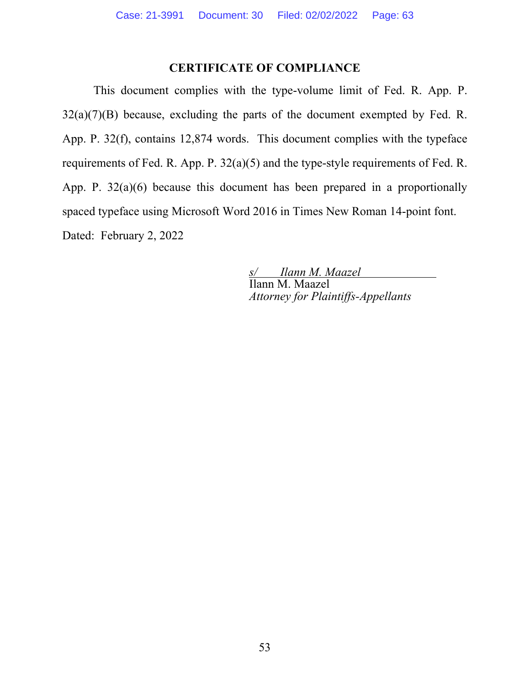# **CERTIFICATE OF COMPLIANCE**

 This document complies with the type-volume limit of Fed. R. App. P.  $32(a)(7)(B)$  because, excluding the parts of the document exempted by Fed. R. App. P. 32(f), contains 12,874 words. This document complies with the typeface requirements of Fed. R. App. P. 32(a)(5) and the type-style requirements of Fed. R. App. P. 32(a)(6) because this document has been prepared in a proportionally spaced typeface using Microsoft Word 2016 in Times New Roman 14-point font. Dated: February 2, 2022

> *s/ Ilann M. Maazel*  Ilann M. Maazel *Attorney for Plaintiffs-Appellants*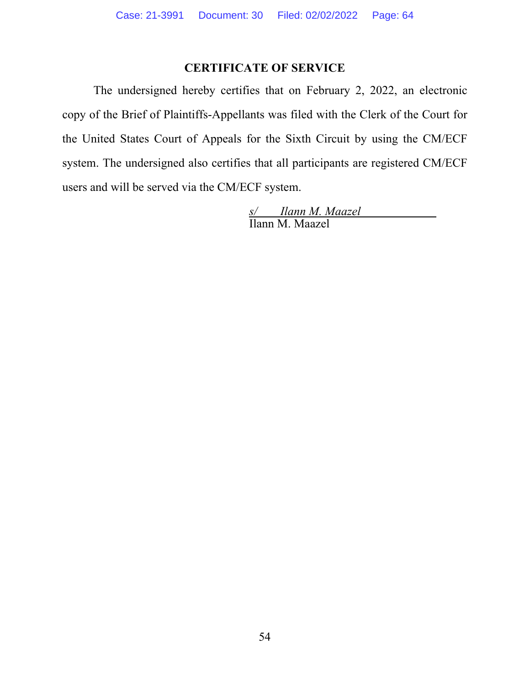# **CERTIFICATE OF SERVICE**

The undersigned hereby certifies that on February 2, 2022, an electronic copy of the Brief of Plaintiffs-Appellants was filed with the Clerk of the Court for the United States Court of Appeals for the Sixth Circuit by using the CM/ECF system. The undersigned also certifies that all participants are registered CM/ECF users and will be served via the CM/ECF system.

 *s/ Ilann M. Maazel*  Ilann M. Maazel